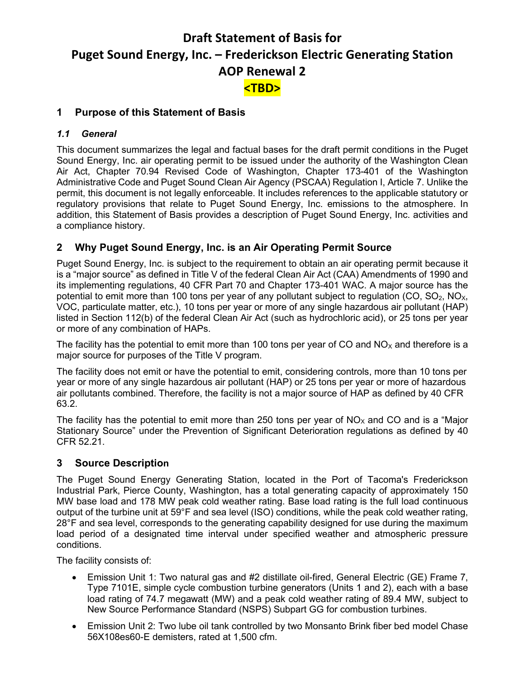# **Draft Statement of Basis for Puget Sound Energy, Inc. – Frederickson Electric Generating Station AOP Renewal 2 <TBD>**

# **1 Purpose of this Statement of Basis**

#### *1.1 General*

This document summarizes the legal and factual bases for the draft permit conditions in the Puget Sound Energy, Inc. air operating permit to be issued under the authority of the Washington Clean Air Act, Chapter 70.94 Revised Code of Washington, Chapter 173-401 of the Washington Administrative Code and Puget Sound Clean Air Agency (PSCAA) Regulation I, Article 7. Unlike the permit, this document is not legally enforceable. It includes references to the applicable statutory or regulatory provisions that relate to Puget Sound Energy, Inc. emissions to the atmosphere. In addition, this Statement of Basis provides a description of Puget Sound Energy, Inc. activities and a compliance history.

# **2 Why Puget Sound Energy, Inc. is an Air Operating Permit Source**

Puget Sound Energy, Inc. is subject to the requirement to obtain an air operating permit because it is a "major source" as defined in Title V of the federal Clean Air Act (CAA) Amendments of 1990 and its implementing regulations, 40 CFR Part 70 and Chapter 173-401 WAC. A major source has the potential to emit more than 100 tons per year of any pollutant subject to regulation (CO,  $SO_2$ , NO<sub>x</sub>, VOC, particulate matter, etc.), 10 tons per year or more of any single hazardous air pollutant (HAP) listed in Section 112(b) of the federal Clean Air Act (such as hydrochloric acid), or 25 tons per year or more of any combination of HAPs.

The facility has the potential to emit more than 100 tons per year of CO and  $NO<sub>X</sub>$  and therefore is a major source for purposes of the Title V program.

The facility does not emit or have the potential to emit, considering controls, more than 10 tons per year or more of any single hazardous air pollutant (HAP) or 25 tons per year or more of hazardous air pollutants combined. Therefore, the facility is not a major source of HAP as defined by 40 CFR 63.2.

The facility has the potential to emit more than 250 tons per year of  $NO<sub>x</sub>$  and CO and is a "Major Stationary Source" under the Prevention of Significant Deterioration regulations as defined by 40 CFR 52.21.

#### **3 Source Description**

The Puget Sound Energy Generating Station, located in the Port of Tacoma's Frederickson Industrial Park, Pierce County, Washington, has a total generating capacity of approximately 150 MW base load and 178 MW peak cold weather rating. Base load rating is the full load continuous output of the turbine unit at 59°F and sea level (ISO) conditions, while the peak cold weather rating, 28°F and sea level, corresponds to the generating capability designed for use during the maximum load period of a designated time interval under specified weather and atmospheric pressure conditions.

The facility consists of:

- Emission Unit 1: Two natural gas and #2 distillate oil-fired, General Electric (GE) Frame 7, Type 7101E, simple cycle combustion turbine generators (Units 1 and 2), each with a base load rating of 74.7 megawatt (MW) and a peak cold weather rating of 89.4 MW, subject to New Source Performance Standard (NSPS) Subpart GG for combustion turbines.
- Emission Unit 2: Two lube oil tank controlled by two Monsanto Brink fiber bed model Chase 56X108es60-E demisters, rated at 1,500 cfm.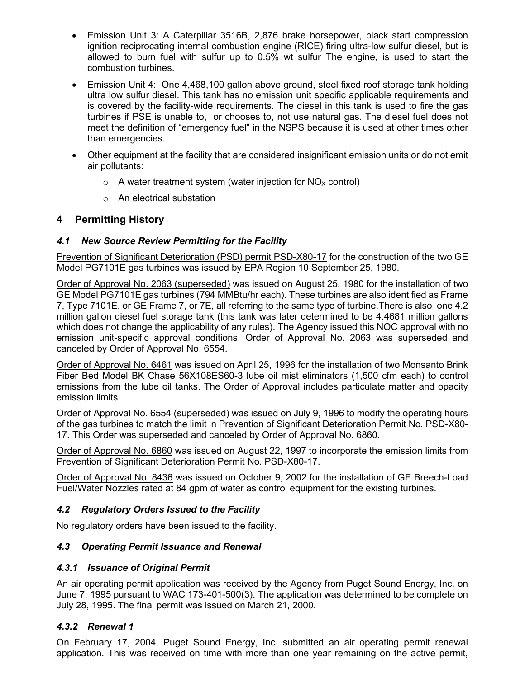- Emission Unit 3: A Caterpillar 3516B, 2,876 brake horsepower, black start compression ignition reciprocating internal combustion engine (RICE) firing ultra-low sulfur diesel, but is allowed to burn fuel with sulfur up to 0.5% wt sulfur The engine, is used to start the combustion turbines.
- Emission Unit 4: One 4,468,100 gallon above ground, steel fixed roof storage tank holding ultra low sulfur diesel. This tank has no emission unit specific applicable requirements and is covered by the facility-wide requirements. The diesel in this tank is used to fire the gas turbines if PSE is unable to, or chooses to, not use natural gas. The diesel fuel does not meet the definition of "emergency fuel" in the NSPS because it is used at other times other than emergencies.
- Other equipment at the facility that are considered insignificant emission units or do not emit air pollutants:
	- $\circ$  A water treatment system (water injection for NO<sub>x</sub> control)
	- o An electrical substation

#### **4 Permitting History**

#### *4.1 New Source Review Permitting for the Facility*

Prevention of Significant Deterioration (PSD) permit PSD-X80-17 for the construction of the two GE Model PG7101E gas turbines was issued by EPA Region 10 September 25, 1980.

Order of Approval No. 2063 (superseded) was issued on August 25, 1980 for the installation of two GE Model PG7101E gas turbines (794 MMBtu/hr each). These turbines are also identified as Frame 7, Type 7101E, or GE Frame 7, or 7E, all referring to the same type of turbine.There is also one 4.2 million gallon diesel fuel storage tank (this tank was later determined to be 4.4681 million gallons which does not change the applicability of any rules). The Agency issued this NOC approval with no emission unit-specific approval conditions. Order of Approval No. 2063 was superseded and canceled by Order of Approval No. 6554.

Order of Approval No. 6461 was issued on April 25, 1996 for the installation of two Monsanto Brink Fiber Bed Model BK Chase 56X108ES60-3 lube oil mist eliminators (1,500 cfm each) to control emissions from the lube oil tanks. The Order of Approval includes particulate matter and opacity emission limits.

Order of Approval No. 6554 (superseded) was issued on July 9, 1996 to modify the operating hours of the gas turbines to match the limit in Prevention of Significant Deterioration Permit No. PSD-X80- 17. This Order was superseded and canceled by Order of Approval No. 6860.

Order of Approval No. 6860 was issued on August 22, 1997 to incorporate the emission limits from Prevention of Significant Deterioration Permit No. PSD-X80-17.

Order of Approval No. 8436 was issued on October 9, 2002 for the installation of GE Breech-Load Fuel/Water Nozzles rated at 84 gpm of water as control equipment for the existing turbines.

#### *4.2 Regulatory Orders Issued to the Facility*

No regulatory orders have been issued to the facility.

#### *4.3 Operating Permit Issuance and Renewal*

#### *4.3.1 Issuance of Original Permit*

An air operating permit application was received by the Agency from Puget Sound Energy, Inc. on June 7, 1995 pursuant to WAC 173-401-500(3). The application was determined to be complete on July 28, 1995. The final permit was issued on March 21, 2000.

#### *4.3.2 Renewal 1*

On February 17, 2004, Puget Sound Energy, Inc. submitted an air operating permit renewal application. This was received on time with more than one year remaining on the active permit,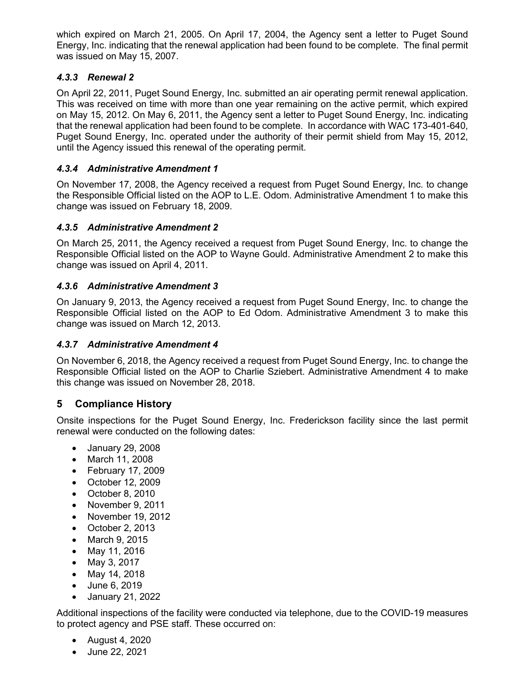which expired on March 21, 2005. On April 17, 2004, the Agency sent a letter to Puget Sound Energy, Inc. indicating that the renewal application had been found to be complete. The final permit was issued on May 15, 2007.

### *4.3.3 Renewal 2*

On April 22, 2011, Puget Sound Energy, Inc. submitted an air operating permit renewal application. This was received on time with more than one year remaining on the active permit, which expired on May 15, 2012. On May 6, 2011, the Agency sent a letter to Puget Sound Energy, Inc. indicating that the renewal application had been found to be complete. In accordance with WAC 173-401-640, Puget Sound Energy, Inc. operated under the authority of their permit shield from May 15, 2012, until the Agency issued this renewal of the operating permit.

#### *4.3.4 Administrative Amendment 1*

On November 17, 2008, the Agency received a request from Puget Sound Energy, Inc. to change the Responsible Official listed on the AOP to L.E. Odom. Administrative Amendment 1 to make this change was issued on February 18, 2009.

#### *4.3.5 Administrative Amendment 2*

On March 25, 2011, the Agency received a request from Puget Sound Energy, Inc. to change the Responsible Official listed on the AOP to Wayne Gould. Administrative Amendment 2 to make this change was issued on April 4, 2011.

#### *4.3.6 Administrative Amendment 3*

On January 9, 2013, the Agency received a request from Puget Sound Energy, Inc. to change the Responsible Official listed on the AOP to Ed Odom. Administrative Amendment 3 to make this change was issued on March 12, 2013.

#### *4.3.7 Administrative Amendment 4*

On November 6, 2018, the Agency received a request from Puget Sound Energy, Inc. to change the Responsible Official listed on the AOP to Charlie Sziebert. Administrative Amendment 4 to make this change was issued on November 28, 2018.

#### **5 Compliance History**

Onsite inspections for the Puget Sound Energy, Inc. Frederickson facility since the last permit renewal were conducted on the following dates:

- January 29, 2008
- March 11, 2008
- February 17, 2009
- October 12, 2009
- October 8, 2010
- November 9, 2011
- November 19, 2012
- October 2, 2013
- March 9, 2015
- May 11, 2016
- May 3, 2017
- May 14, 2018
- June 6, 2019
- January 21, 2022

Additional inspections of the facility were conducted via telephone, due to the COVID-19 measures to protect agency and PSE staff. These occurred on:

- August 4, 2020
- June 22, 2021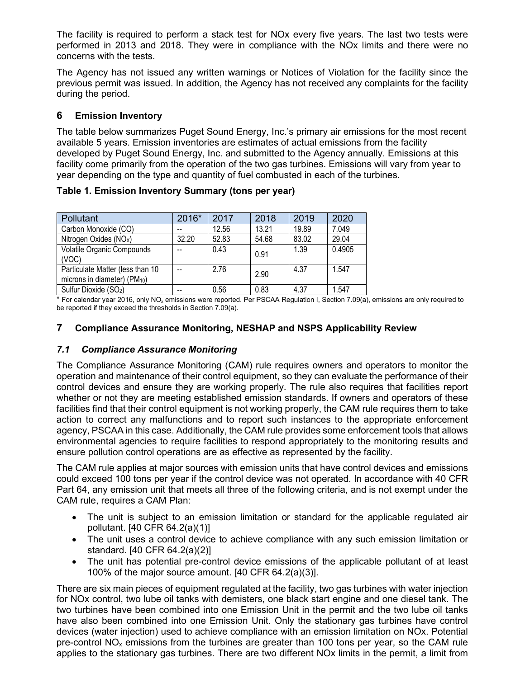The facility is required to perform a stack test for NOx every five years. The last two tests were performed in 2013 and 2018. They were in compliance with the NOx limits and there were no concerns with the tests.

The Agency has not issued any written warnings or Notices of Violation for the facility since the previous permit was issued. In addition, the Agency has not received any complaints for the facility during the period.

## **6 Emission Inventory**

The table below summarizes Puget Sound Energy, Inc.'s primary air emissions for the most recent available 5 years. Emission inventories are estimates of actual emissions from the facility developed by Puget Sound Energy, Inc. and submitted to the Agency annually. Emissions at this facility come primarily from the operation of the two gas turbines. Emissions will vary from year to year depending on the type and quantity of fuel combusted in each of the turbines.

|  |  |  | Table 1. Emission Inventory Summary (tons per year) |
|--|--|--|-----------------------------------------------------|
|--|--|--|-----------------------------------------------------|

| <b>Pollutant</b>                                                             | 2016* | 2017  | 2018  | 2019  | 2020   |
|------------------------------------------------------------------------------|-------|-------|-------|-------|--------|
| Carbon Monoxide (CO)                                                         |       | 12.56 | 13.21 | 19.89 | 7.049  |
| Nitrogen Oxides (NO <sub>x</sub> )                                           | 32.20 | 52.83 | 54.68 | 83.02 | 29.04  |
| Volatile Organic Compounds<br>(VOC)                                          |       | 0.43  | 0.91  | 1.39  | 0.4905 |
| Particulate Matter (less than 10<br>microns in diameter) (PM <sub>10</sub> ) |       | 2.76  | 2.90  | 4.37  | 1.547  |
| Sulfur Dioxide (SO <sub>2</sub> )                                            |       | 0.56  | 0.83  | 4.37  | 1.547  |

 $*$  For calendar year 2016, only NO<sub>x</sub> emissions were reported. Per PSCAA Regulation I, Section 7.09(a), emissions are only required to be reported if they exceed the thresholds in Section 7.09(a).

#### **7 Compliance Assurance Monitoring, NESHAP and NSPS Applicability Review**

#### *7.1 Compliance Assurance Monitoring*

The Compliance Assurance Monitoring (CAM) rule requires owners and operators to monitor the operation and maintenance of their control equipment, so they can evaluate the performance of their control devices and ensure they are working properly. The rule also requires that facilities report whether or not they are meeting established emission standards. If owners and operators of these facilities find that their control equipment is not working properly, the CAM rule requires them to take action to correct any malfunctions and to report such instances to the appropriate enforcement agency, PSCAA in this case. Additionally, the CAM rule provides some enforcement tools that allows environmental agencies to require facilities to respond appropriately to the monitoring results and ensure pollution control operations are as effective as represented by the facility.

The CAM rule applies at major sources with emission units that have control devices and emissions could exceed 100 tons per year if the control device was not operated. In accordance with 40 CFR Part 64, any emission unit that meets all three of the following criteria, and is not exempt under the CAM rule, requires a CAM Plan:

- The unit is subject to an emission limitation or standard for the applicable regulated air pollutant. [40 CFR 64.2(a)(1)]
- The unit uses a control device to achieve compliance with any such emission limitation or standard. [40 CFR 64.2(a)(2)]
- The unit has potential pre-control device emissions of the applicable pollutant of at least 100% of the major source amount. [40 CFR 64.2(a)(3)].

There are six main pieces of equipment regulated at the facility, two gas turbines with water injection for NOx control, two lube oil tanks with demisters, one black start engine and one diesel tank. The two turbines have been combined into one Emission Unit in the permit and the two lube oil tanks have also been combined into one Emission Unit. Only the stationary gas turbines have control devices (water injection) used to achieve compliance with an emission limitation on NOx. Potential pre-control  $NO<sub>x</sub>$  emissions from the turbines are greater than 100 tons per year, so the CAM rule applies to the stationary gas turbines. There are two different NOx limits in the permit, a limit from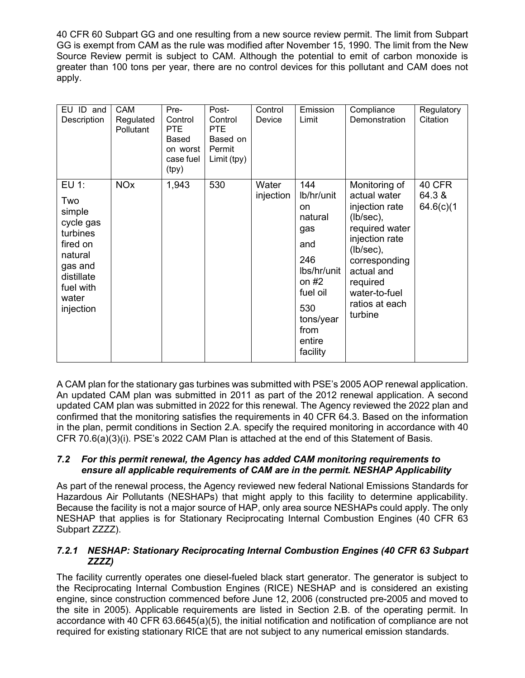40 CFR 60 Subpart GG and one resulting from a new source review permit. The limit from Subpart GG is exempt from CAM as the rule was modified after November 15, 1990. The limit from the New Source Review permit is subject to CAM. Although the potential to emit of carbon monoxide is greater than 100 tons per year, there are no control devices for this pollutant and CAM does not apply.

| EU ID and<br>Description                                                                                                           | <b>CAM</b><br>Regulated<br>Pollutant | Pre-<br>Control<br><b>PTE</b><br>Based<br>on worst<br>case fuel<br>(tpy) | Post-<br>Control<br><b>PTE</b><br>Based on<br>Permit<br>Limit (tpy) | Control<br>Device  | Emission<br>Limit                                                                                                                             | Compliance<br>Demonstration                                                                                                                                                                                  | Regulatory<br>Citation         |
|------------------------------------------------------------------------------------------------------------------------------------|--------------------------------------|--------------------------------------------------------------------------|---------------------------------------------------------------------|--------------------|-----------------------------------------------------------------------------------------------------------------------------------------------|--------------------------------------------------------------------------------------------------------------------------------------------------------------------------------------------------------------|--------------------------------|
| EU 1:<br>Two<br>simple<br>cycle gas<br>turbines<br>fired on<br>natural<br>gas and<br>distillate<br>fuel with<br>water<br>injection | <b>NO<sub>x</sub></b>                | 1,943                                                                    | 530                                                                 | Water<br>injection | 144<br>lb/hr/unit<br>on<br>natural<br>gas<br>and<br>246<br>lbs/hr/unit<br>on #2<br>fuel oil<br>530<br>tons/year<br>from<br>entire<br>facility | Monitoring of<br>actual water<br>injection rate<br>$(lb/sec)$ ,<br>required water<br>injection rate<br>$(lb/sec)$ ,<br>corresponding<br>actual and<br>required<br>water-to-fuel<br>ratios at each<br>turbine | 40 CFR<br>64.3 &<br>64.6(c)(1) |

A CAM plan for the stationary gas turbines was submitted with PSE's 2005 AOP renewal application. An updated CAM plan was submitted in 2011 as part of the 2012 renewal application. A second updated CAM plan was submitted in 2022 for this renewal. The Agency reviewed the 2022 plan and confirmed that the monitoring satisfies the requirements in 40 CFR 64.3. Based on the information in the plan, permit conditions in Section 2.A. specify the required monitoring in accordance with 40 CFR 70.6(a)(3)(i). PSE's 2022 CAM Plan is attached at the end of this Statement of Basis.

#### *7.2 For this permit renewal, the Agency has added CAM monitoring requirements to ensure all applicable requirements of CAM are in the permit. NESHAP Applicability*

As part of the renewal process, the Agency reviewed new federal National Emissions Standards for Hazardous Air Pollutants (NESHAPs) that might apply to this facility to determine applicability. Because the facility is not a major source of HAP, only area source NESHAPs could apply. The only NESHAP that applies is for Stationary Reciprocating Internal Combustion Engines (40 CFR 63 Subpart **ZZZZ**).

#### *7.2.1 NESHAP: Stationary Reciprocating Internal Combustion Engines (40 CFR 63 Subpart ZZZZ)*

The facility currently operates one diesel-fueled black start generator. The generator is subject to the Reciprocating Internal Combustion Engines (RICE) NESHAP and is considered an existing engine, since construction commenced before June 12, 2006 (constructed pre-2005 and moved to the site in 2005). Applicable requirements are listed in Section 2.B. of the operating permit. In accordance with 40 CFR 63.6645(a)(5), the initial notification and notification of compliance are not required for existing stationary RICE that are not subject to any numerical emission standards.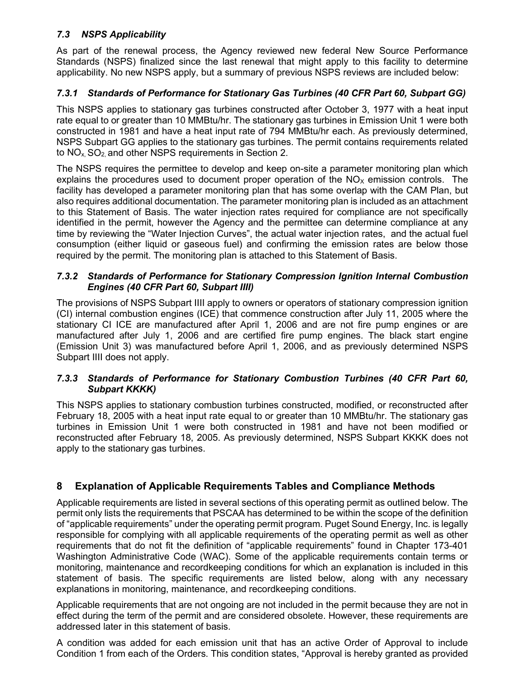#### *7.3 NSPS Applicability*

As part of the renewal process, the Agency reviewed new federal New Source Performance Standards (NSPS) finalized since the last renewal that might apply to this facility to determine applicability. No new NSPS apply, but a summary of previous NSPS reviews are included below:

## *7.3.1 Standards of Performance for Stationary Gas Turbines (40 CFR Part 60, Subpart GG)*

This NSPS applies to stationary gas turbines constructed after October 3, 1977 with a heat input rate equal to or greater than 10 MMBtu/hr. The stationary gas turbines in Emission Unit 1 were both constructed in 1981 and have a heat input rate of 794 MMBtu/hr each. As previously determined, NSPS Subpart GG applies to the stationary gas turbines. The permit contains requirements related to  $NO<sub>x</sub>$ ,  $SO<sub>2</sub>$  and other NSPS requirements in Section 2.

The NSPS requires the permittee to develop and keep on-site a parameter monitoring plan which explains the procedures used to document proper operation of the  $NO<sub>x</sub>$  emission controls. The facility has developed a parameter monitoring plan that has some overlap with the CAM Plan, but also requires additional documentation. The parameter monitoring plan is included as an attachment to this Statement of Basis. The water injection rates required for compliance are not specifically identified in the permit, however the Agency and the permittee can determine compliance at any time by reviewing the "Water Injection Curves", the actual water injection rates, and the actual fuel consumption (either liquid or gaseous fuel) and confirming the emission rates are below those required by the permit. The monitoring plan is attached to this Statement of Basis.

#### *7.3.2 Standards of Performance for Stationary Compression Ignition Internal Combustion Engines (40 CFR Part 60, Subpart IIII)*

The provisions of NSPS Subpart IIII apply to owners or operators of stationary compression ignition (CI) internal combustion engines (ICE) that commence construction after July 11, 2005 where the stationary CI ICE are manufactured after April 1, 2006 and are not fire pump engines or are manufactured after July 1, 2006 and are certified fire pump engines. The black start engine (Emission Unit 3) was manufactured before April 1, 2006, and as previously determined NSPS Subpart IIII does not apply.

#### *7.3.3 Standards of Performance for Stationary Combustion Turbines (40 CFR Part 60, Subpart KKKK)*

This NSPS applies to stationary combustion turbines constructed, modified, or reconstructed after February 18, 2005 with a heat input rate equal to or greater than 10 MMBtu/hr. The stationary gas turbines in Emission Unit 1 were both constructed in 1981 and have not been modified or reconstructed after February 18, 2005. As previously determined, NSPS Subpart KKKK does not apply to the stationary gas turbines.

#### **8 Explanation of Applicable Requirements Tables and Compliance Methods**

Applicable requirements are listed in several sections of this operating permit as outlined below. The permit only lists the requirements that PSCAA has determined to be within the scope of the definition of "applicable requirements" under the operating permit program. Puget Sound Energy, Inc. is legally responsible for complying with all applicable requirements of the operating permit as well as other requirements that do not fit the definition of "applicable requirements" found in Chapter 173-401 Washington Administrative Code (WAC). Some of the applicable requirements contain terms or monitoring, maintenance and recordkeeping conditions for which an explanation is included in this statement of basis. The specific requirements are listed below, along with any necessary explanations in monitoring, maintenance, and recordkeeping conditions.

Applicable requirements that are not ongoing are not included in the permit because they are not in effect during the term of the permit and are considered obsolete. However, these requirements are addressed later in this statement of basis.

A condition was added for each emission unit that has an active Order of Approval to include Condition 1 from each of the Orders. This condition states, "Approval is hereby granted as provided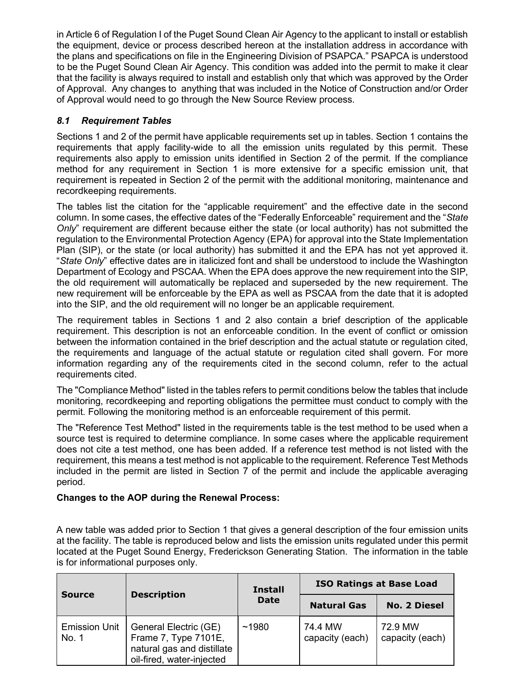in Article 6 of Regulation I of the Puget Sound Clean Air Agency to the applicant to install or establish the equipment, device or process described hereon at the installation address in accordance with the plans and specifications on file in the Engineering Division of PSAPCA." PSAPCA is understood to be the Puget Sound Clean Air Agency. This condition was added into the permit to make it clear that the facility is always required to install and establish only that which was approved by the Order of Approval. Any changes to anything that was included in the Notice of Construction and/or Order of Approval would need to go through the New Source Review process.

## *8.1 Requirement Tables*

Sections 1 and 2 of the permit have applicable requirements set up in tables. Section 1 contains the requirements that apply facility-wide to all the emission units regulated by this permit. These requirements also apply to emission units identified in Section 2 of the permit. If the compliance method for any requirement in Section 1 is more extensive for a specific emission unit, that requirement is repeated in Section 2 of the permit with the additional monitoring, maintenance and recordkeeping requirements.

The tables list the citation for the "applicable requirement" and the effective date in the second column. In some cases, the effective dates of the "Federally Enforceable" requirement and the "*State Only*" requirement are different because either the state (or local authority) has not submitted the regulation to the Environmental Protection Agency (EPA) for approval into the State Implementation Plan (SIP), or the state (or local authority) has submitted it and the EPA has not yet approved it. "*State Only*" effective dates are in italicized font and shall be understood to include the Washington Department of Ecology and PSCAA. When the EPA does approve the new requirement into the SIP, the old requirement will automatically be replaced and superseded by the new requirement. The new requirement will be enforceable by the EPA as well as PSCAA from the date that it is adopted into the SIP, and the old requirement will no longer be an applicable requirement.

The requirement tables in Sections 1 and 2 also contain a brief description of the applicable requirement. This description is not an enforceable condition. In the event of conflict or omission between the information contained in the brief description and the actual statute or regulation cited, the requirements and language of the actual statute or regulation cited shall govern. For more information regarding any of the requirements cited in the second column, refer to the actual requirements cited.

The "Compliance Method" listed in the tables refers to permit conditions below the tables that include monitoring, recordkeeping and reporting obligations the permittee must conduct to comply with the permit. Following the monitoring method is an enforceable requirement of this permit.

The "Reference Test Method" listed in the requirements table is the test method to be used when a source test is required to determine compliance. In some cases where the applicable requirement does not cite a test method, one has been added. If a reference test method is not listed with the requirement, this means a test method is not applicable to the requirement. Reference Test Methods included in the permit are listed in Section 7 of the permit and include the applicable averaging period.

#### **Changes to the AOP during the Renewal Process:**

A new table was added prior to Section 1 that gives a general description of the four emission units at the facility. The table is reproduced below and lists the emission units regulated under this permit located at the Puget Sound Energy, Frederickson Generating Station. The information in the table is for informational purposes only.

| <b>Description</b><br><b>Source</b> |                                                                                                          | <b>Install</b>                    | <b>ISO Ratings at Base Load</b> |                            |
|-------------------------------------|----------------------------------------------------------------------------------------------------------|-----------------------------------|---------------------------------|----------------------------|
|                                     |                                                                                                          | <b>Date</b><br><b>Natural Gas</b> |                                 | <b>No. 2 Diesel</b>        |
| <b>Emission Unit</b><br>No. 1       | General Electric (GE)<br>Frame 7, Type 7101E,<br>natural gas and distillate<br>oil-fired, water-injected | ~1980                             | 74.4 MW<br>capacity (each)      | 72.9 MW<br>capacity (each) |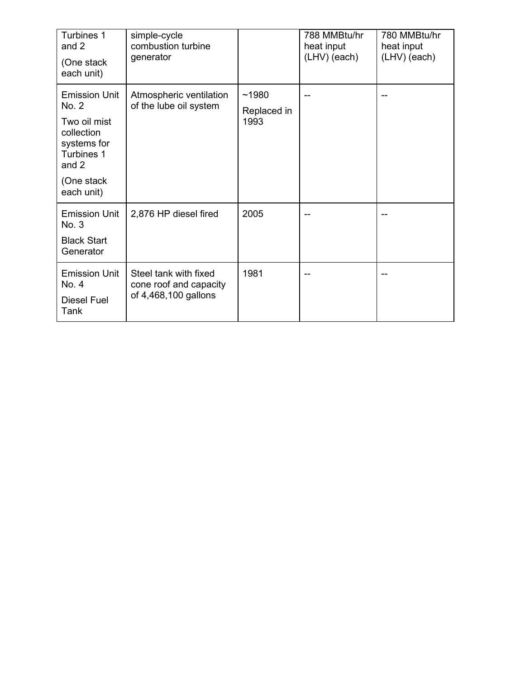| Turbines 1<br>and 2<br>(One stack<br>each unit)                                                                                 | simple-cycle<br>combustion turbine<br>generator                         |                              | 788 MMBtu/hr<br>heat input<br>(LHV) (each) | 780 MMBtu/hr<br>heat input<br>(LHV) (each) |
|---------------------------------------------------------------------------------------------------------------------------------|-------------------------------------------------------------------------|------------------------------|--------------------------------------------|--------------------------------------------|
| <b>Emission Unit</b><br>No. 2<br>Two oil mist<br>collection<br>systems for<br>Turbines 1<br>and $2$<br>(One stack<br>each unit) | Atmospheric ventilation<br>of the lube oil system                       | ~1980<br>Replaced in<br>1993 | --                                         |                                            |
| <b>Emission Unit</b><br>No. 3<br><b>Black Start</b><br>Generator                                                                | 2,876 HP diesel fired                                                   | 2005                         |                                            |                                            |
| <b>Emission Unit</b><br>No. 4<br><b>Diesel Fuel</b><br>Tank                                                                     | Steel tank with fixed<br>cone roof and capacity<br>of 4,468,100 gallons | 1981                         |                                            |                                            |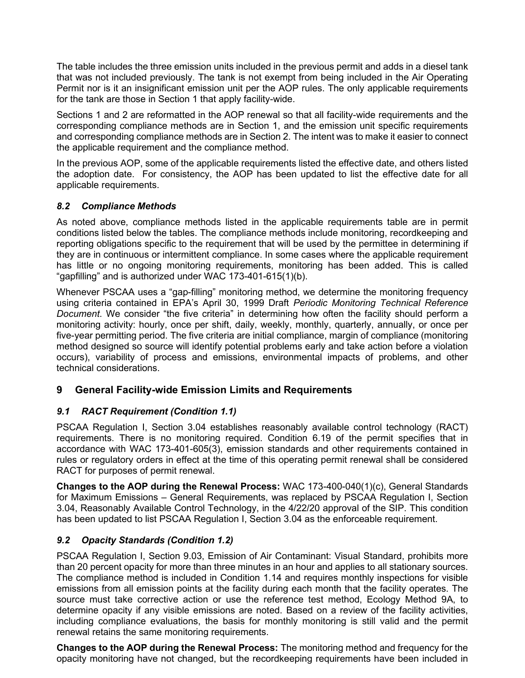The table includes the three emission units included in the previous permit and adds in a diesel tank that was not included previously. The tank is not exempt from being included in the Air Operating Permit nor is it an insignificant emission unit per the AOP rules. The only applicable requirements for the tank are those in Section 1 that apply facility-wide.

Sections 1 and 2 are reformatted in the AOP renewal so that all facility-wide requirements and the corresponding compliance methods are in Section 1, and the emission unit specific requirements and corresponding compliance methods are in Section 2. The intent was to make it easier to connect the applicable requirement and the compliance method.

In the previous AOP, some of the applicable requirements listed the effective date, and others listed the adoption date. For consistency, the AOP has been updated to list the effective date for all applicable requirements.

#### *8.2 Compliance Methods*

As noted above, compliance methods listed in the applicable requirements table are in permit conditions listed below the tables. The compliance methods include monitoring, recordkeeping and reporting obligations specific to the requirement that will be used by the permittee in determining if they are in continuous or intermittent compliance. In some cases where the applicable requirement has little or no ongoing monitoring requirements, monitoring has been added. This is called "gapfilling" and is authorized under WAC 173-401-615(1)(b).

Whenever PSCAA uses a "gap-filling" monitoring method, we determine the monitoring frequency using criteria contained in EPA's April 30, 1999 Draft *Periodic Monitoring Technical Reference Document*. We consider "the five criteria" in determining how often the facility should perform a monitoring activity: hourly, once per shift, daily, weekly, monthly, quarterly, annually, or once per five-year permitting period. The five criteria are initial compliance, margin of compliance (monitoring method designed so source will identify potential problems early and take action before a violation occurs), variability of process and emissions, environmental impacts of problems, and other technical considerations.

# **9 General Facility-wide Emission Limits and Requirements**

# *9.1 RACT Requirement (Condition 1.1)*

PSCAA Regulation I, Section 3.04 establishes reasonably available control technology (RACT) requirements. There is no monitoring required. Condition 6.19 of the permit specifies that in accordance with WAC 173-401-605(3), emission standards and other requirements contained in rules or regulatory orders in effect at the time of this operating permit renewal shall be considered RACT for purposes of permit renewal.

**Changes to the AOP during the Renewal Process:** WAC 173-400-040(1)(c), General Standards for Maximum Emissions – General Requirements, was replaced by PSCAA Regulation I, Section 3.04, Reasonably Available Control Technology, in the 4/22/20 approval of the SIP. This condition has been updated to list PSCAA Regulation I, Section 3.04 as the enforceable requirement.

#### *9.2 Opacity Standards (Condition 1.2)*

PSCAA Regulation I, Section 9.03, Emission of Air Contaminant: Visual Standard, prohibits more than 20 percent opacity for more than three minutes in an hour and applies to all stationary sources. The compliance method is included in Condition 1.14 and requires monthly inspections for visible emissions from all emission points at the facility during each month that the facility operates. The source must take corrective action or use the reference test method, Ecology Method 9A, to determine opacity if any visible emissions are noted. Based on a review of the facility activities, including compliance evaluations, the basis for monthly monitoring is still valid and the permit renewal retains the same monitoring requirements.

**Changes to the AOP during the Renewal Process:** The monitoring method and frequency for the opacity monitoring have not changed, but the recordkeeping requirements have been included in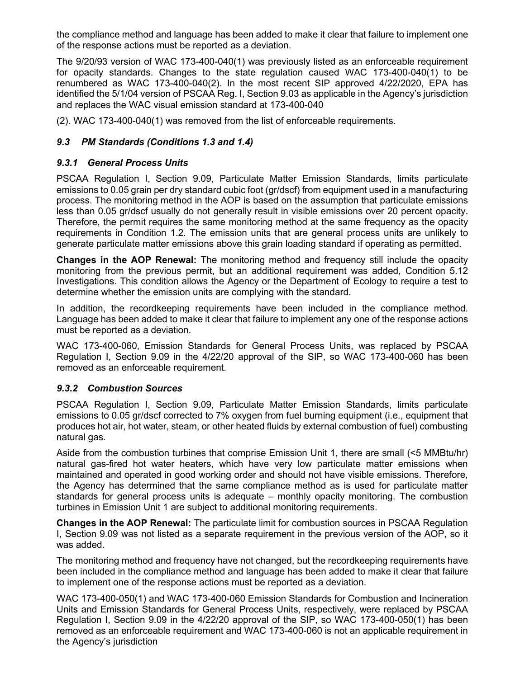the compliance method and language has been added to make it clear that failure to implement one of the response actions must be reported as a deviation.

The 9/20/93 version of WAC 173-400-040(1) was previously listed as an enforceable requirement for opacity standards. Changes to the state regulation caused WAC 173-400-040(1) to be renumbered as WAC 173-400-040(2). In the most recent SIP approved 4/22/2020, EPA has identified the 5/1/04 version of PSCAA Reg. I, Section 9.03 as applicable in the Agency's jurisdiction and replaces the WAC visual emission standard at 173-400-040

(2). WAC 173-400-040(1) was removed from the list of enforceable requirements.

# *9.3 PM Standards (Conditions 1.3 and 1.4)*

## *9.3.1 General Process Units*

PSCAA Regulation I, Section 9.09, Particulate Matter Emission Standards, limits particulate emissions to 0.05 grain per dry standard cubic foot (gr/dscf) from equipment used in a manufacturing process. The monitoring method in the AOP is based on the assumption that particulate emissions less than 0.05 gr/dscf usually do not generally result in visible emissions over 20 percent opacity. Therefore, the permit requires the same monitoring method at the same frequency as the opacity requirements in Condition 1.2. The emission units that are general process units are unlikely to generate particulate matter emissions above this grain loading standard if operating as permitted.

**Changes in the AOP Renewal:** The monitoring method and frequency still include the opacity monitoring from the previous permit, but an additional requirement was added, Condition 5.12 Investigations. This condition allows the Agency or the Department of Ecology to require a test to determine whether the emission units are complying with the standard.

In addition, the recordkeeping requirements have been included in the compliance method. Language has been added to make it clear that failure to implement any one of the response actions must be reported as a deviation.

WAC 173-400-060, Emission Standards for General Process Units, was replaced by PSCAA Regulation I, Section 9.09 in the 4/22/20 approval of the SIP, so WAC 173-400-060 has been removed as an enforceable requirement.

#### *9.3.2 Combustion Sources*

PSCAA Regulation I, Section 9.09, Particulate Matter Emission Standards, limits particulate emissions to 0.05 gr/dscf corrected to 7% oxygen from fuel burning equipment (i.e., equipment that produces hot air, hot water, steam, or other heated fluids by external combustion of fuel) combusting natural gas.

Aside from the combustion turbines that comprise Emission Unit 1, there are small (<5 MMBtu/hr) natural gas-fired hot water heaters, which have very low particulate matter emissions when maintained and operated in good working order and should not have visible emissions. Therefore, the Agency has determined that the same compliance method as is used for particulate matter standards for general process units is adequate – monthly opacity monitoring. The combustion turbines in Emission Unit 1 are subject to additional monitoring requirements.

**Changes in the AOP Renewal:** The particulate limit for combustion sources in PSCAA Regulation I, Section 9.09 was not listed as a separate requirement in the previous version of the AOP, so it was added.

The monitoring method and frequency have not changed, but the recordkeeping requirements have been included in the compliance method and language has been added to make it clear that failure to implement one of the response actions must be reported as a deviation.

WAC 173-400-050(1) and WAC 173-400-060 Emission Standards for Combustion and Incineration Units and Emission Standards for General Process Units, respectively, were replaced by PSCAA Regulation I, Section 9.09 in the 4/22/20 approval of the SIP, so WAC 173-400-050(1) has been removed as an enforceable requirement and WAC 173-400-060 is not an applicable requirement in the Agency's jurisdiction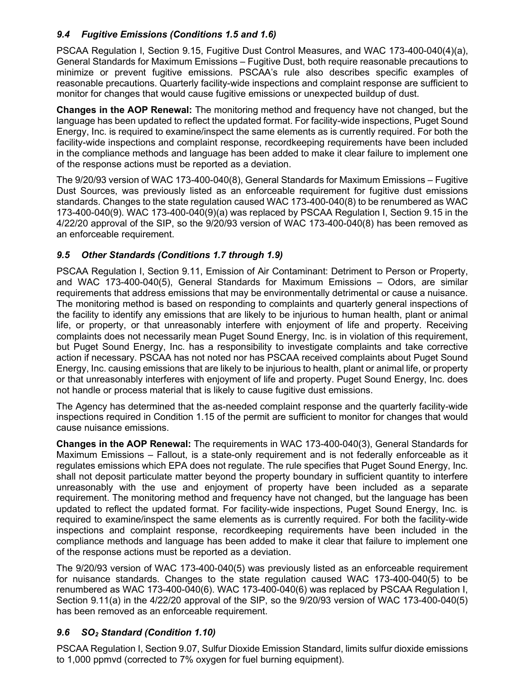# *9.4 Fugitive Emissions (Conditions 1.5 and 1.6)*

PSCAA Regulation I, Section 9.15, Fugitive Dust Control Measures, and WAC 173-400-040(4)(a), General Standards for Maximum Emissions – Fugitive Dust, both require reasonable precautions to minimize or prevent fugitive emissions. PSCAA's rule also describes specific examples of reasonable precautions. Quarterly facility-wide inspections and complaint response are sufficient to monitor for changes that would cause fugitive emissions or unexpected buildup of dust.

**Changes in the AOP Renewal:** The monitoring method and frequency have not changed, but the language has been updated to reflect the updated format. For facility-wide inspections, Puget Sound Energy, Inc. is required to examine/inspect the same elements as is currently required. For both the facility-wide inspections and complaint response, recordkeeping requirements have been included in the compliance methods and language has been added to make it clear failure to implement one of the response actions must be reported as a deviation.

The 9/20/93 version of WAC 173-400-040(8), General Standards for Maximum Emissions – Fugitive Dust Sources, was previously listed as an enforceable requirement for fugitive dust emissions standards. Changes to the state regulation caused WAC 173-400-040(8) to be renumbered as WAC 173-400-040(9). WAC 173-400-040(9)(a) was replaced by PSCAA Regulation I, Section 9.15 in the 4/22/20 approval of the SIP, so the 9/20/93 version of WAC 173-400-040(8) has been removed as an enforceable requirement.

# *9.5 Other Standards (Conditions 1.7 through 1.9)*

PSCAA Regulation I, Section 9.11, Emission of Air Contaminant: Detriment to Person or Property, and WAC 173-400-040(5), General Standards for Maximum Emissions – Odors, are similar requirements that address emissions that may be environmentally detrimental or cause a nuisance. The monitoring method is based on responding to complaints and quarterly general inspections of the facility to identify any emissions that are likely to be injurious to human health, plant or animal life, or property, or that unreasonably interfere with enjoyment of life and property. Receiving complaints does not necessarily mean Puget Sound Energy, Inc. is in violation of this requirement, but Puget Sound Energy, Inc. has a responsibility to investigate complaints and take corrective action if necessary. PSCAA has not noted nor has PSCAA received complaints about Puget Sound Energy, Inc. causing emissions that are likely to be injurious to health, plant or animal life, or property or that unreasonably interferes with enjoyment of life and property. Puget Sound Energy, Inc. does not handle or process material that is likely to cause fugitive dust emissions.

The Agency has determined that the as-needed complaint response and the quarterly facility-wide inspections required in Condition 1.15 of the permit are sufficient to monitor for changes that would cause nuisance emissions.

**Changes in the AOP Renewal:** The requirements in WAC 173-400-040(3), General Standards for Maximum Emissions – Fallout, is a state-only requirement and is not federally enforceable as it regulates emissions which EPA does not regulate. The rule specifies that Puget Sound Energy, Inc. shall not deposit particulate matter beyond the property boundary in sufficient quantity to interfere unreasonably with the use and enjoyment of property have been included as a separate requirement. The monitoring method and frequency have not changed, but the language has been updated to reflect the updated format. For facility-wide inspections, Puget Sound Energy, Inc. is required to examine/inspect the same elements as is currently required. For both the facility-wide inspections and complaint response, recordkeeping requirements have been included in the compliance methods and language has been added to make it clear that failure to implement one of the response actions must be reported as a deviation.

The 9/20/93 version of WAC 173-400-040(5) was previously listed as an enforceable requirement for nuisance standards. Changes to the state regulation caused WAC 173-400-040(5) to be renumbered as WAC 173-400-040(6). WAC 173-400-040(6) was replaced by PSCAA Regulation I, Section 9.11(a) in the 4/22/20 approval of the SIP, so the 9/20/93 version of WAC 173-400-040(5) has been removed as an enforceable requirement.

#### *9.6 SO2 Standard (Condition 1.10)*

PSCAA Regulation I, Section 9.07, Sulfur Dioxide Emission Standard, limits sulfur dioxide emissions to 1,000 ppmvd (corrected to 7% oxygen for fuel burning equipment).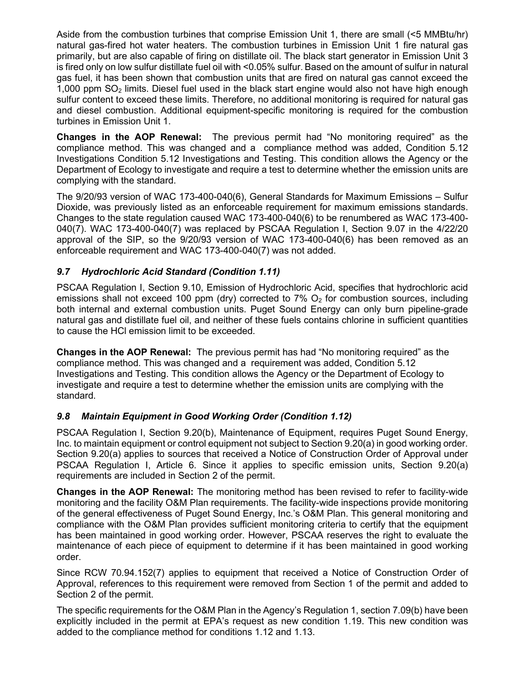Aside from the combustion turbines that comprise Emission Unit 1, there are small (<5 MMBtu/hr) natural gas-fired hot water heaters. The combustion turbines in Emission Unit 1 fire natural gas primarily, but are also capable of firing on distillate oil. The black start generator in Emission Unit 3 is fired only on low sulfur distillate fuel oil with <0.05% sulfur. Based on the amount of sulfur in natural gas fuel, it has been shown that combustion units that are fired on natural gas cannot exceed the 1,000 ppm SO2 limits. Diesel fuel used in the black start engine would also not have high enough sulfur content to exceed these limits. Therefore, no additional monitoring is required for natural gas and diesel combustion. Additional equipment-specific monitoring is required for the combustion turbines in Emission Unit 1.

**Changes in the AOP Renewal:** The previous permit had "No monitoring required" as the compliance method. This was changed and a compliance method was added, Condition 5.12 Investigations Condition 5.12 Investigations and Testing. This condition allows the Agency or the Department of Ecology to investigate and require a test to determine whether the emission units are complying with the standard.

The 9/20/93 version of WAC 173-400-040(6), General Standards for Maximum Emissions – Sulfur Dioxide, was previously listed as an enforceable requirement for maximum emissions standards. Changes to the state regulation caused WAC 173-400-040(6) to be renumbered as WAC 173-400- 040(7). WAC 173-400-040(7) was replaced by PSCAA Regulation I, Section 9.07 in the 4/22/20 approval of the SIP, so the 9/20/93 version of WAC 173-400-040(6) has been removed as an enforceable requirement and WAC 173-400-040(7) was not added.

# *9.7 Hydrochloric Acid Standard (Condition 1.11)*

PSCAA Regulation I, Section 9.10, Emission of Hydrochloric Acid, specifies that hydrochloric acid emissions shall not exceed 100 ppm (dry) corrected to  $7\%$  O<sub>2</sub> for combustion sources, including both internal and external combustion units. Puget Sound Energy can only burn pipeline-grade natural gas and distillate fuel oil, and neither of these fuels contains chlorine in sufficient quantities to cause the HCl emission limit to be exceeded.

**Changes in the AOP Renewal:** The previous permit has had "No monitoring required" as the compliance method. This was changed and a requirement was added, Condition 5.12 Investigations and Testing. This condition allows the Agency or the Department of Ecology to investigate and require a test to determine whether the emission units are complying with the standard.

#### *9.8 Maintain Equipment in Good Working Order (Condition 1.12)*

PSCAA Regulation I, Section 9.20(b), Maintenance of Equipment, requires Puget Sound Energy, Inc. to maintain equipment or control equipment not subject to Section 9.20(a) in good working order. Section 9.20(a) applies to sources that received a Notice of Construction Order of Approval under PSCAA Regulation I, Article 6. Since it applies to specific emission units, Section 9.20(a) requirements are included in Section 2 of the permit.

**Changes in the AOP Renewal:** The monitoring method has been revised to refer to facility-wide monitoring and the facility O&M Plan requirements. The facility-wide inspections provide monitoring of the general effectiveness of Puget Sound Energy, Inc.'s O&M Plan. This general monitoring and compliance with the O&M Plan provides sufficient monitoring criteria to certify that the equipment has been maintained in good working order. However, PSCAA reserves the right to evaluate the maintenance of each piece of equipment to determine if it has been maintained in good working order.

Since RCW 70.94.152(7) applies to equipment that received a Notice of Construction Order of Approval, references to this requirement were removed from Section 1 of the permit and added to Section 2 of the permit.

The specific requirements for the O&M Plan in the Agency's Regulation 1, section 7.09(b) have been explicitly included in the permit at EPA's request as new condition 1.19. This new condition was added to the compliance method for conditions 1.12 and 1.13.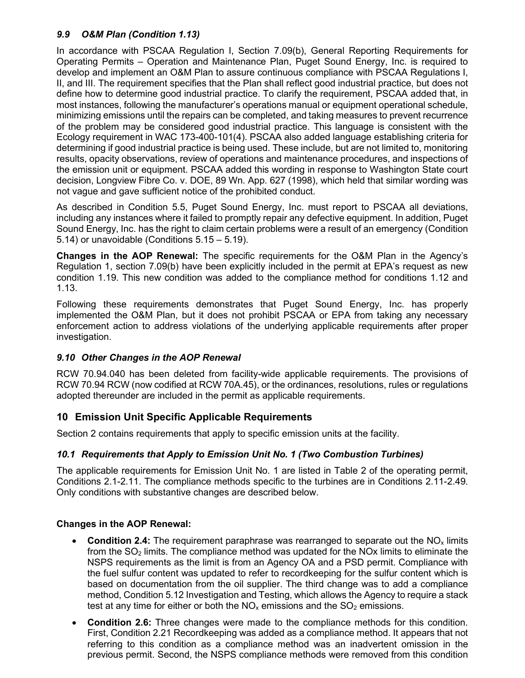#### *9.9 O&M Plan (Condition 1.13)*

In accordance with PSCAA Regulation I, Section 7.09(b), General Reporting Requirements for Operating Permits – Operation and Maintenance Plan, Puget Sound Energy, Inc. is required to develop and implement an O&M Plan to assure continuous compliance with PSCAA Regulations I, II, and III. The requirement specifies that the Plan shall reflect good industrial practice, but does not define how to determine good industrial practice. To clarify the requirement, PSCAA added that, in most instances, following the manufacturer's operations manual or equipment operational schedule, minimizing emissions until the repairs can be completed, and taking measures to prevent recurrence of the problem may be considered good industrial practice. This language is consistent with the Ecology requirement in WAC 173-400-101(4). PSCAA also added language establishing criteria for determining if good industrial practice is being used. These include, but are not limited to, monitoring results, opacity observations, review of operations and maintenance procedures, and inspections of the emission unit or equipment. PSCAA added this wording in response to Washington State court decision, Longview Fibre Co. v. DOE, 89 Wn. App. 627 (1998), which held that similar wording was not vague and gave sufficient notice of the prohibited conduct.

As described in Condition 5.5, Puget Sound Energy, Inc. must report to PSCAA all deviations, including any instances where it failed to promptly repair any defective equipment. In addition, Puget Sound Energy, Inc. has the right to claim certain problems were a result of an emergency (Condition 5.14) or unavoidable (Conditions 5.15 – 5.19).

**Changes in the AOP Renewal:** The specific requirements for the O&M Plan in the Agency's Regulation 1, section 7.09(b) have been explicitly included in the permit at EPA's request as new condition 1.19. This new condition was added to the compliance method for conditions 1.12 and 1.13.

Following these requirements demonstrates that Puget Sound Energy, Inc. has properly implemented the O&M Plan, but it does not prohibit PSCAA or EPA from taking any necessary enforcement action to address violations of the underlying applicable requirements after proper investigation.

#### *9.10 Other Changes in the AOP Renewal*

RCW 70.94.040 has been deleted from facility-wide applicable requirements. The provisions of RCW 70.94 RCW (now codified at RCW 70A.45), or the ordinances, resolutions, rules or regulations adopted thereunder are included in the permit as applicable requirements.

#### **10 Emission Unit Specific Applicable Requirements**

Section 2 contains requirements that apply to specific emission units at the facility.

#### *10.1 Requirements that Apply to Emission Unit No. 1 (Two Combustion Turbines)*

The applicable requirements for Emission Unit No. 1 are listed in Table 2 of the operating permit, Conditions 2.1-2.11. The compliance methods specific to the turbines are in Conditions 2.11-2.49. Only conditions with substantive changes are described below.

#### **Changes in the AOP Renewal:**

- **Condition 2.4:** The requirement paraphrase was rearranged to separate out the NO<sub>x</sub> limits from the  $SO<sub>2</sub>$  limits. The compliance method was updated for the NOx limits to eliminate the NSPS requirements as the limit is from an Agency OA and a PSD permit. Compliance with the fuel sulfur content was updated to refer to recordkeeping for the sulfur content which is based on documentation from the oil supplier. The third change was to add a compliance method, Condition 5.12 Investigation and Testing, which allows the Agency to require a stack test at any time for either or both the  $NO<sub>x</sub>$  emissions and the  $SO<sub>2</sub>$  emissions.
- **Condition 2.6:** Three changes were made to the compliance methods for this condition. First, Condition 2.21 Recordkeeping was added as a compliance method. It appears that not referring to this condition as a compliance method was an inadvertent omission in the previous permit. Second, the NSPS compliance methods were removed from this condition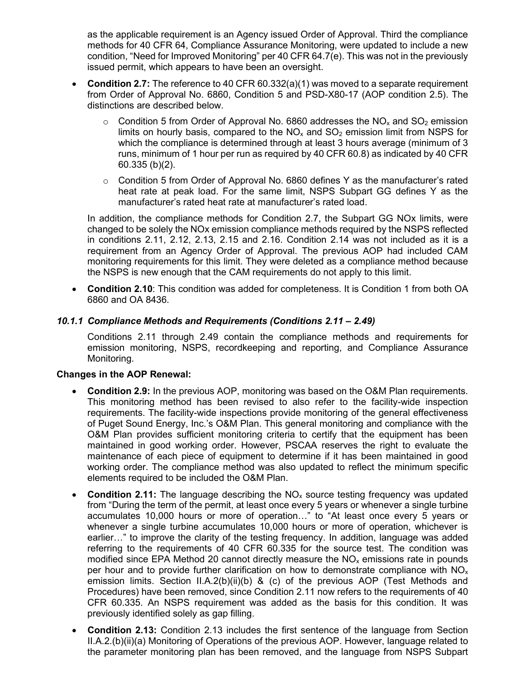as the applicable requirement is an Agency issued Order of Approval. Third the compliance methods for 40 CFR 64, Compliance Assurance Monitoring, were updated to include a new condition, "Need for Improved Monitoring" per 40 CFR 64.7(e). This was not in the previously issued permit, which appears to have been an oversight.

- **Condition 2.7:** The reference to 40 CFR 60.332(a)(1) was moved to a separate requirement from Order of Approval No. 6860, Condition 5 and PSD-X80-17 (AOP condition 2.5). The distinctions are described below.
	- $\circ$  Condition 5 from Order of Approval No. 6860 addresses the NO<sub>x</sub> and SO<sub>2</sub> emission limits on hourly basis, compared to the  $NO<sub>x</sub>$  and  $SO<sub>2</sub>$  emission limit from NSPS for which the compliance is determined through at least 3 hours average (minimum of 3 runs, minimum of 1 hour per run as required by 40 CFR 60.8) as indicated by 40 CFR 60.335 (b)(2).
	- $\circ$  Condition 5 from Order of Approval No. 6860 defines Y as the manufacturer's rated heat rate at peak load. For the same limit, NSPS Subpart GG defines Y as the manufacturer's rated heat rate at manufacturer's rated load.

In addition, the compliance methods for Condition 2.7, the Subpart GG NOx limits, were changed to be solely the NOx emission compliance methods required by the NSPS reflected in conditions 2.11, 2.12, 2.13, 2.15 and 2.16. Condition 2.14 was not included as it is a requirement from an Agency Order of Approval. The previous AOP had included CAM monitoring requirements for this limit. They were deleted as a compliance method because the NSPS is new enough that the CAM requirements do not apply to this limit.

• **Condition 2.10**: This condition was added for completeness. It is Condition 1 from both OA 6860 and OA 8436.

#### *10.1.1 Compliance Methods and Requirements (Conditions 2.11 – 2.49)*

Conditions 2.11 through 2.49 contain the compliance methods and requirements for emission monitoring, NSPS, recordkeeping and reporting, and Compliance Assurance Monitoring.

#### **Changes in the AOP Renewal:**

- **Condition 2.9:** In the previous AOP, monitoring was based on the O&M Plan requirements. This monitoring method has been revised to also refer to the facility-wide inspection requirements. The facility-wide inspections provide monitoring of the general effectiveness of Puget Sound Energy, Inc.'s O&M Plan. This general monitoring and compliance with the O&M Plan provides sufficient monitoring criteria to certify that the equipment has been maintained in good working order. However, PSCAA reserves the right to evaluate the maintenance of each piece of equipment to determine if it has been maintained in good working order. The compliance method was also updated to reflect the minimum specific elements required to be included the O&M Plan.
- **Condition 2.11:** The language describing the NO<sub>x</sub> source testing frequency was updated from "During the term of the permit, at least once every 5 years or whenever a single turbine accumulates 10,000 hours or more of operation…" to "At least once every 5 years or whenever a single turbine accumulates 10,000 hours or more of operation, whichever is earlier…" to improve the clarity of the testing frequency. In addition, language was added referring to the requirements of 40 CFR 60.335 for the source test. The condition was modified since EPA Method 20 cannot directly measure the  $NO<sub>x</sub>$  emissions rate in pounds per hour and to provide further clarification on how to demonstrate compliance with  $NO<sub>x</sub>$ emission limits. Section II.A.2(b)(ii)(b) & (c) of the previous AOP (Test Methods and Procedures) have been removed, since Condition 2.11 now refers to the requirements of 40 CFR 60.335. An NSPS requirement was added as the basis for this condition. It was previously identified solely as gap filling.
- **Condition 2.13:** Condition 2.13 includes the first sentence of the language from Section II.A.2.(b)(ii)(a) Monitoring of Operations of the previous AOP. However, language related to the parameter monitoring plan has been removed, and the language from NSPS Subpart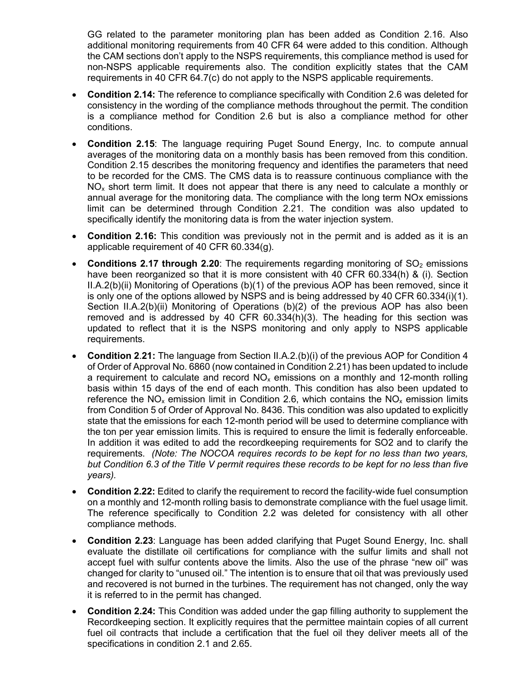GG related to the parameter monitoring plan has been added as Condition 2.16. Also additional monitoring requirements from 40 CFR 64 were added to this condition. Although the CAM sections don't apply to the NSPS requirements, this compliance method is used for non-NSPS applicable requirements also. The condition explicitly states that the CAM requirements in 40 CFR 64.7(c) do not apply to the NSPS applicable requirements.

- **Condition 2.14:** The reference to compliance specifically with Condition 2.6 was deleted for consistency in the wording of the compliance methods throughout the permit. The condition is a compliance method for Condition 2.6 but is also a compliance method for other conditions.
- **Condition 2.15**: The language requiring Puget Sound Energy, Inc. to compute annual averages of the monitoring data on a monthly basis has been removed from this condition. Condition 2.15 describes the monitoring frequency and identifies the parameters that need to be recorded for the CMS. The CMS data is to reassure continuous compliance with the  $NO<sub>x</sub>$  short term limit. It does not appear that there is any need to calculate a monthly or annual average for the monitoring data. The compliance with the long term NOx emissions limit can be determined through Condition 2.21. The condition was also updated to specifically identify the monitoring data is from the water injection system.
- **Condition 2.16:** This condition was previously not in the permit and is added as it is an applicable requirement of 40 CFR 60.334(g).
- **Conditions 2.17 through 2.20**: The requirements regarding monitoring of SO<sub>2</sub> emissions have been reorganized so that it is more consistent with 40 CFR 60.334(h) & (i). Section II.A.2(b)(ii) Monitoring of Operations (b)(1) of the previous AOP has been removed, since it is only one of the options allowed by NSPS and is being addressed by 40 CFR 60.334(i)(1). Section II.A.2(b)(ii) Monitoring of Operations (b)(2) of the previous AOP has also been removed and is addressed by 40 CFR 60.334(h)(3). The heading for this section was updated to reflect that it is the NSPS monitoring and only apply to NSPS applicable requirements.
- **Condition 2**.**21:** The language from Section II.A.2.(b)(i) of the previous AOP for Condition 4 of Order of Approval No. 6860 (now contained in Condition 2.21) has been updated to include a requirement to calculate and record  $NO<sub>x</sub>$  emissions on a monthly and 12-month rolling basis within 15 days of the end of each month. This condition has also been updated to reference the  $NO<sub>x</sub>$  emission limit in Condition 2.6, which contains the  $NO<sub>x</sub>$  emission limits from Condition 5 of Order of Approval No. 8436. This condition was also updated to explicitly state that the emissions for each 12-month period will be used to determine compliance with the ton per year emission limits. This is required to ensure the limit is federally enforceable. In addition it was edited to add the recordkeeping requirements for SO2 and to clarify the requirements. *(Note: The NOCOA requires records to be kept for no less than two years, but Condition 6.3 of the Title V permit requires these records to be kept for no less than five years).*
- **Condition 2.22:** Edited to clarify the requirement to record the facility-wide fuel consumption on a monthly and 12-month rolling basis to demonstrate compliance with the fuel usage limit. The reference specifically to Condition 2.2 was deleted for consistency with all other compliance methods.
- **Condition 2.23**: Language has been added clarifying that Puget Sound Energy, Inc. shall evaluate the distillate oil certifications for compliance with the sulfur limits and shall not accept fuel with sulfur contents above the limits. Also the use of the phrase "new oil" was changed for clarity to "unused oil." The intention is to ensure that oil that was previously used and recovered is not burned in the turbines. The requirement has not changed, only the way it is referred to in the permit has changed.
- **Condition 2.24:** This Condition was added under the gap filling authority to supplement the Recordkeeping section. It explicitly requires that the permittee maintain copies of all current fuel oil contracts that include a certification that the fuel oil they deliver meets all of the specifications in condition 2.1 and 2.65.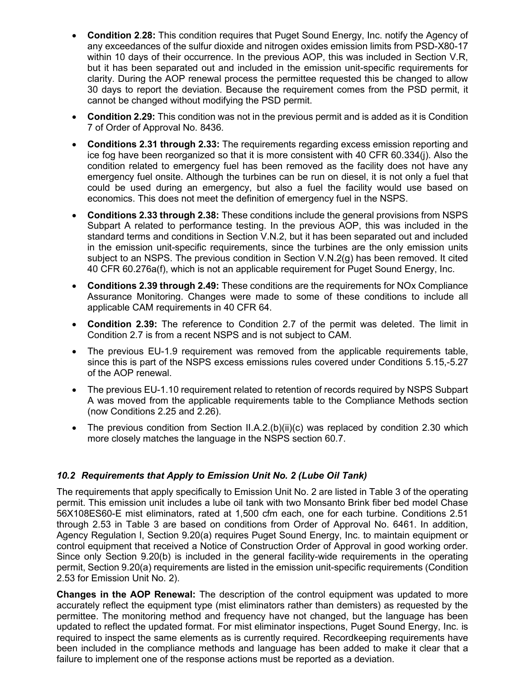- **Condition 2**.**28:** This condition requires that Puget Sound Energy, Inc. notify the Agency of any exceedances of the sulfur dioxide and nitrogen oxides emission limits from PSD-X80-17 within 10 days of their occurrence. In the previous AOP, this was included in Section V.R, but it has been separated out and included in the emission unit-specific requirements for clarity. During the AOP renewal process the permittee requested this be changed to allow 30 days to report the deviation. Because the requirement comes from the PSD permit, it cannot be changed without modifying the PSD permit.
- **Condition 2.29:** This condition was not in the previous permit and is added as it is Condition 7 of Order of Approval No. 8436.
- **Conditions 2.31 through 2.33:** The requirements regarding excess emission reporting and ice fog have been reorganized so that it is more consistent with 40 CFR 60.334(j). Also the condition related to emergency fuel has been removed as the facility does not have any emergency fuel onsite. Although the turbines can be run on diesel, it is not only a fuel that could be used during an emergency, but also a fuel the facility would use based on economics. This does not meet the definition of emergency fuel in the NSPS.
- **Conditions 2.33 through 2.38:** These conditions include the general provisions from NSPS Subpart A related to performance testing. In the previous AOP, this was included in the standard terms and conditions in Section V.N.2, but it has been separated out and included in the emission unit-specific requirements, since the turbines are the only emission units subject to an NSPS. The previous condition in Section V.N.2(g) has been removed. It cited 40 CFR 60.276a(f), which is not an applicable requirement for Puget Sound Energy, Inc.
- **Conditions 2.39 through 2.49:** These conditions are the requirements for NOx Compliance Assurance Monitoring. Changes were made to some of these conditions to include all applicable CAM requirements in 40 CFR 64.
- **Condition 2.39:** The reference to Condition 2.7 of the permit was deleted. The limit in Condition 2.7 is from a recent NSPS and is not subject to CAM.
- The previous EU-1.9 requirement was removed from the applicable requirements table, since this is part of the NSPS excess emissions rules covered under Conditions 5.15,-5.27 of the AOP renewal.
- The previous EU-1.10 requirement related to retention of records required by NSPS Subpart A was moved from the applicable requirements table to the Compliance Methods section (now Conditions 2.25 and 2.26).
- The previous condition from Section II.A.2.(b)(ii)(c) was replaced by condition 2.30 which more closely matches the language in the NSPS section 60.7.

#### *10.2 Requirements that Apply to Emission Unit No. 2 (Lube Oil Tank)*

The requirements that apply specifically to Emission Unit No. 2 are listed in Table 3 of the operating permit. This emission unit includes a lube oil tank with two Monsanto Brink fiber bed model Chase 56X108ES60-E mist eliminators, rated at 1,500 cfm each, one for each turbine. Conditions 2.51 through 2.53 in Table 3 are based on conditions from Order of Approval No. 6461. In addition, Agency Regulation I, Section 9.20(a) requires Puget Sound Energy, Inc. to maintain equipment or control equipment that received a Notice of Construction Order of Approval in good working order. Since only Section 9.20(b) is included in the general facility-wide requirements in the operating permit, Section 9.20(a) requirements are listed in the emission unit-specific requirements (Condition 2.53 for Emission Unit No. 2).

**Changes in the AOP Renewal:** The description of the control equipment was updated to more accurately reflect the equipment type (mist eliminators rather than demisters) as requested by the permittee. The monitoring method and frequency have not changed, but the language has been updated to reflect the updated format. For mist eliminator inspections, Puget Sound Energy, Inc. is required to inspect the same elements as is currently required. Recordkeeping requirements have been included in the compliance methods and language has been added to make it clear that a failure to implement one of the response actions must be reported as a deviation.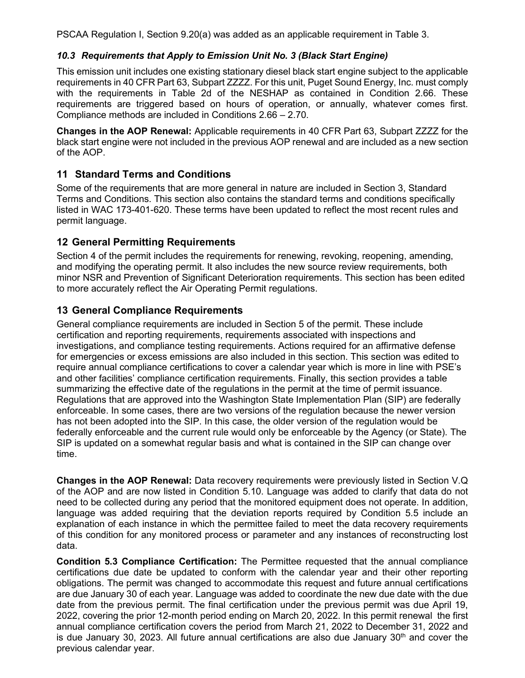PSCAA Regulation I, Section 9.20(a) was added as an applicable requirement in Table 3.

#### *10.3 Requirements that Apply to Emission Unit No. 3 (Black Start Engine)*

This emission unit includes one existing stationary diesel black start engine subject to the applicable requirements in 40 CFR Part 63, Subpart ZZZZ. For this unit, Puget Sound Energy, Inc. must comply with the requirements in Table 2d of the NESHAP as contained in Condition 2.66. These requirements are triggered based on hours of operation, or annually, whatever comes first. Compliance methods are included in Conditions 2.66 – 2.70.

**Changes in the AOP Renewal:** Applicable requirements in 40 CFR Part 63, Subpart ZZZZ for the black start engine were not included in the previous AOP renewal and are included as a new section of the AOP.

### **11 Standard Terms and Conditions**

Some of the requirements that are more general in nature are included in Section 3, Standard Terms and Conditions. This section also contains the standard terms and conditions specifically listed in WAC 173-401-620. These terms have been updated to reflect the most recent rules and permit language.

#### **12 General Permitting Requirements**

Section 4 of the permit includes the requirements for renewing, revoking, reopening, amending, and modifying the operating permit. It also includes the new source review requirements, both minor NSR and Prevention of Significant Deterioration requirements. This section has been edited to more accurately reflect the Air Operating Permit regulations.

# **13 General Compliance Requirements**

General compliance requirements are included in Section 5 of the permit. These include certification and reporting requirements, requirements associated with inspections and investigations, and compliance testing requirements. Actions required for an affirmative defense for emergencies or excess emissions are also included in this section. This section was edited to require annual compliance certifications to cover a calendar year which is more in line with PSE's and other facilities' compliance certification requirements. Finally, this section provides a table summarizing the effective date of the regulations in the permit at the time of permit issuance. Regulations that are approved into the Washington State Implementation Plan (SIP) are federally enforceable. In some cases, there are two versions of the regulation because the newer version has not been adopted into the SIP. In this case, the older version of the regulation would be federally enforceable and the current rule would only be enforceable by the Agency (or State). The SIP is updated on a somewhat regular basis and what is contained in the SIP can change over time.

**Changes in the AOP Renewal:** Data recovery requirements were previously listed in Section V.Q of the AOP and are now listed in Condition 5.10. Language was added to clarify that data do not need to be collected during any period that the monitored equipment does not operate. In addition, language was added requiring that the deviation reports required by Condition 5.5 include an explanation of each instance in which the permittee failed to meet the data recovery requirements of this condition for any monitored process or parameter and any instances of reconstructing lost data.

**Condition 5.3 Compliance Certification:** The Permittee requested that the annual compliance certifications due date be updated to conform with the calendar year and their other reporting obligations. The permit was changed to accommodate this request and future annual certifications are due January 30 of each year. Language was added to coordinate the new due date with the due date from the previous permit. The final certification under the previous permit was due April 19, 2022, covering the prior 12-month period ending on March 20, 2022. In this permit renewal the first annual compliance certification covers the period from March 21, 2022 to December 31, 2022 and is due January 30, 2023. All future annual certifications are also due January 30<sup>th</sup> and cover the previous calendar year.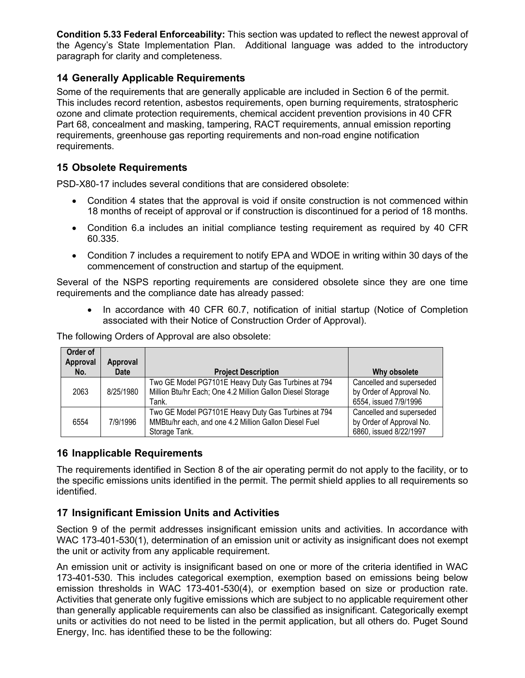**Condition 5.33 Federal Enforceability:** This section was updated to reflect the newest approval of the Agency's State Implementation Plan. Additional language was added to the introductory paragraph for clarity and completeness.

# **14 Generally Applicable Requirements**

Some of the requirements that are generally applicable are included in Section 6 of the permit. This includes record retention, asbestos requirements, open burning requirements, stratospheric ozone and climate protection requirements, chemical accident prevention provisions in 40 CFR Part 68, concealment and masking, tampering, RACT requirements, annual emission reporting requirements, greenhouse gas reporting requirements and non-road engine notification requirements.

### **15 Obsolete Requirements**

PSD-X80-17 includes several conditions that are considered obsolete:

- Condition 4 states that the approval is void if onsite construction is not commenced within 18 months of receipt of approval or if construction is discontinued for a period of 18 months.
- Condition 6.a includes an initial compliance testing requirement as required by 40 CFR 60.335.
- Condition 7 includes a requirement to notify EPA and WDOE in writing within 30 days of the commencement of construction and startup of the equipment.

Several of the NSPS reporting requirements are considered obsolete since they are one time requirements and the compliance date has already passed:

• In accordance with 40 CFR 60.7, notification of initial startup (Notice of Completion associated with their Notice of Construction Order of Approval).

The following Orders of Approval are also obsolete:

| Order of<br>Approval | Approval  |                                                                                                                               |                                                                                |
|----------------------|-----------|-------------------------------------------------------------------------------------------------------------------------------|--------------------------------------------------------------------------------|
| No.                  | Date      | <b>Project Description</b>                                                                                                    | Why obsolete                                                                   |
| 2063                 | 8/25/1980 | Two GE Model PG7101E Heavy Duty Gas Turbines at 794<br>Million Btu/hr Each; One 4.2 Million Gallon Diesel Storage<br>Tank.    | Cancelled and superseded<br>by Order of Approval No.<br>6554, issued 7/9/1996  |
| 6554                 | 7/9/1996  | Two GE Model PG7101E Heavy Duty Gas Turbines at 794<br>MMBtu/hr each, and one 4.2 Million Gallon Diesel Fuel<br>Storage Tank. | Cancelled and superseded<br>by Order of Approval No.<br>6860, issued 8/22/1997 |

#### **16 Inapplicable Requirements**

The requirements identified in Section 8 of the air operating permit do not apply to the facility, or to the specific emissions units identified in the permit. The permit shield applies to all requirements so identified.

# **17 Insignificant Emission Units and Activities**

Section 9 of the permit addresses insignificant emission units and activities. In accordance with WAC 173-401-530(1), determination of an emission unit or activity as insignificant does not exempt the unit or activity from any applicable requirement.

An emission unit or activity is insignificant based on one or more of the criteria identified in WAC 173-401-530. This includes categorical exemption, exemption based on emissions being below emission thresholds in WAC 173-401-530(4), or exemption based on size or production rate. Activities that generate only fugitive emissions which are subject to no applicable requirement other than generally applicable requirements can also be classified as insignificant. Categorically exempt units or activities do not need to be listed in the permit application, but all others do. Puget Sound Energy, Inc. has identified these to be the following: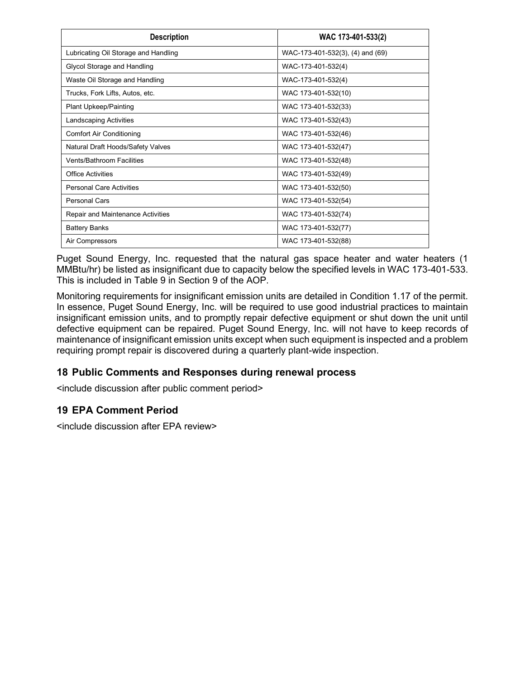| <b>Description</b>                   | WAC 173-401-533(2)               |
|--------------------------------------|----------------------------------|
| Lubricating Oil Storage and Handling | WAC-173-401-532(3), (4) and (69) |
| Glycol Storage and Handling          | WAC-173-401-532(4)               |
| Waste Oil Storage and Handling       | WAC-173-401-532(4)               |
| Trucks, Fork Lifts, Autos, etc.      | WAC 173-401-532(10)              |
| <b>Plant Upkeep/Painting</b>         | WAC 173-401-532(33)              |
| Landscaping Activities               | WAC 173-401-532(43)              |
| Comfort Air Conditioning             | WAC 173-401-532(46)              |
| Natural Draft Hoods/Safety Valves    | WAC 173-401-532(47)              |
| <b>Vents/Bathroom Facilities</b>     | WAC 173-401-532(48)              |
| Office Activities                    | WAC 173-401-532(49)              |
| <b>Personal Care Activities</b>      | WAC 173-401-532(50)              |
| <b>Personal Cars</b>                 | WAC 173-401-532(54)              |
| Repair and Maintenance Activities    | WAC 173-401-532(74)              |
| <b>Battery Banks</b>                 | WAC 173-401-532(77)              |
| Air Compressors                      | WAC 173-401-532(88)              |

Puget Sound Energy, Inc. requested that the natural gas space heater and water heaters (1 MMBtu/hr) be listed as insignificant due to capacity below the specified levels in WAC 173-401-533. This is included in Table 9 in Section 9 of the AOP.

Monitoring requirements for insignificant emission units are detailed in Condition 1.17 of the permit. In essence, Puget Sound Energy, Inc. will be required to use good industrial practices to maintain insignificant emission units, and to promptly repair defective equipment or shut down the unit until defective equipment can be repaired. Puget Sound Energy, Inc. will not have to keep records of maintenance of insignificant emission units except when such equipment is inspected and a problem requiring prompt repair is discovered during a quarterly plant-wide inspection.

#### **18 Public Comments and Responses during renewal process**

<include discussion after public comment period>

#### **19 EPA Comment Period**

<include discussion after EPA review>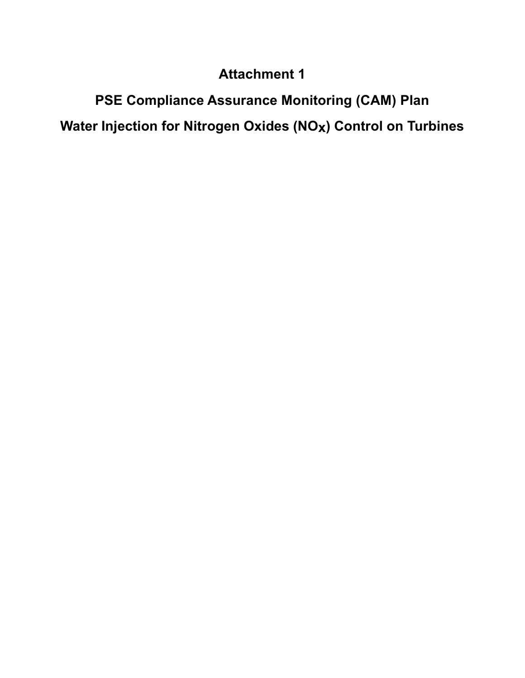# **Attachment 1**

**PSE Compliance Assurance Monitoring (CAM) Plan Water Injection for Nitrogen Oxides (NOx) Control on Turbines**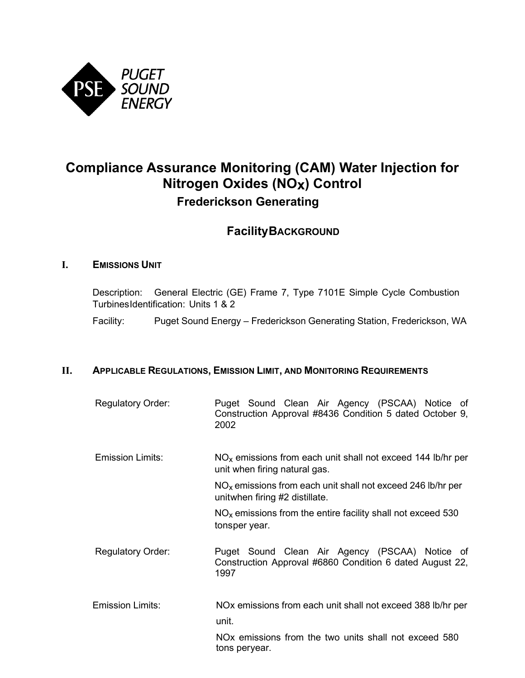

# **Compliance Assurance Monitoring (CAM) Water Injection for Nitrogen Oxides (NOx) Control Frederickson Generating**

# **FacilityBACKGROUND**

#### **I. EMISSIONS UNIT**

Description: General Electric (GE) Frame 7, Type 7101E Simple Cycle Combustion TurbinesIdentification: Units 1 & 2

Facility: Puget Sound Energy – Frederickson Generating Station, Frederickson, WA

#### **II. APPLICABLE REGULATIONS, EMISSION LIMIT, AND MONITORING REQUIREMENTS**

| <b>Regulatory Order:</b> | Puget Sound Clean Air Agency (PSCAA) Notice of<br>Construction Approval #8436 Condition 5 dated October 9,<br>2002 |
|--------------------------|--------------------------------------------------------------------------------------------------------------------|
| Emission Limits:         | $NOx$ emissions from each unit shall not exceed 144 lb/hr per<br>unit when firing natural gas.                     |
|                          | $NOx$ emissions from each unit shall not exceed 246 lb/hr per<br>unitwhen firing #2 distillate.                    |
|                          | $NOx$ emissions from the entire facility shall not exceed 530<br>tonsper year.                                     |
| <b>Regulatory Order:</b> | Puget Sound Clean Air Agency (PSCAA) Notice of<br>Construction Approval #6860 Condition 6 dated August 22,<br>1997 |

Emission Limits: NOx emissions from each unit shall not exceed 388 lb/hr per unit.

> NOx emissions from the two units shall not exceed 580 tons peryear.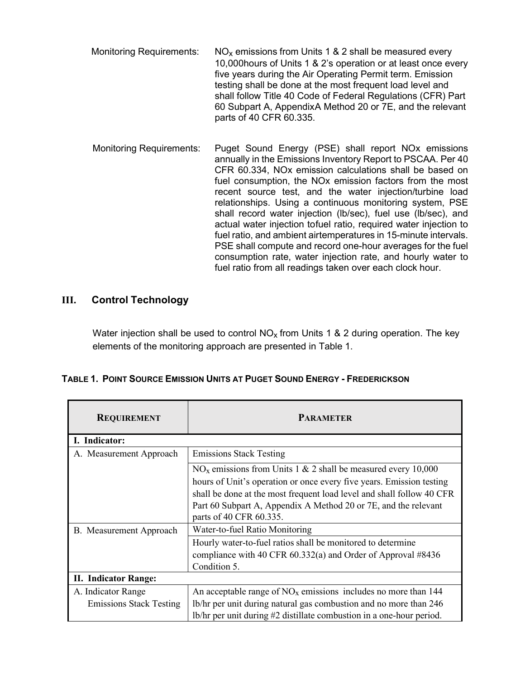- Monitoring Requirements:  $NO<sub>x</sub>$  emissions from Units 1 & 2 shall be measured every 10,000hours of Units 1 & 2's operation or at least once every five years during the Air Operating Permit term. Emission testing shall be done at the most frequent load level and shall follow Title 40 Code of Federal Regulations (CFR) Part 60 Subpart A, AppendixA Method 20 or 7E, and the relevant parts of 40 CFR 60.335.
- Monitoring Requirements: Puget Sound Energy (PSE) shall report NOx emissions annually in the Emissions Inventory Report to PSCAA. Per 40 CFR 60.334, NOx emission calculations shall be based on fuel consumption, the NOx emission factors from the most recent source test, and the water injection/turbine load relationships. Using a continuous monitoring system, PSE shall record water injection (lb/sec), fuel use (lb/sec), and actual water injection tofuel ratio, required water injection to fuel ratio, and ambient airtemperatures in 15-minute intervals. PSE shall compute and record one-hour averages for the fuel consumption rate, water injection rate, and hourly water to fuel ratio from all readings taken over each clock hour.

#### **III. Control Technology**

Water injection shall be used to control  $NO<sub>x</sub>$  from Units 1 & 2 during operation. The key elements of the monitoring approach are presented in Table 1.

|  |  |  |  | TABLE 1. POINT SOURCE EMISSION UNITS AT PUGET SOUND ENERGY - FREDERICKSON |
|--|--|--|--|---------------------------------------------------------------------------|
|--|--|--|--|---------------------------------------------------------------------------|

| <b>REQUIREMENT</b>             | <b>PARAMETER</b>                                                      |
|--------------------------------|-----------------------------------------------------------------------|
| I. Indicator:                  |                                                                       |
| A. Measurement Approach        | <b>Emissions Stack Testing</b>                                        |
|                                | $NOx$ emissions from Units 1 & 2 shall be measured every 10,000       |
|                                | hours of Unit's operation or once every five years. Emission testing  |
|                                | shall be done at the most frequent load level and shall follow 40 CFR |
|                                | Part 60 Subpart A, Appendix A Method 20 or 7E, and the relevant       |
|                                | parts of 40 CFR 60.335.                                               |
| B. Measurement Approach        | Water-to-fuel Ratio Monitoring                                        |
|                                | Hourly water-to-fuel ratios shall be monitored to determine           |
|                                | compliance with 40 CFR 60.332(a) and Order of Approval #8436          |
|                                | Condition 5.                                                          |
| <b>II. Indicator Range:</b>    |                                                                       |
| A. Indicator Range             | An acceptable range of $NOx$ emissions includes no more than 144      |
| <b>Emissions Stack Testing</b> | lb/hr per unit during natural gas combustion and no more than 246     |
|                                | lb/hr per unit during #2 distillate combustion in a one-hour period.  |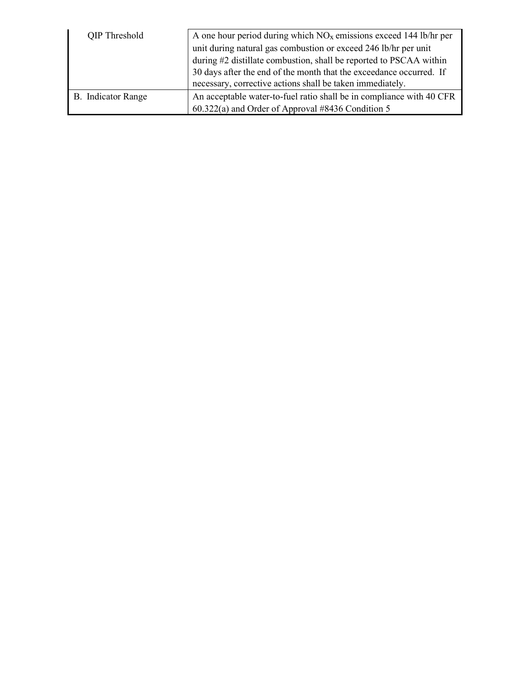| QIP Threshold      | A one hour period during which $NOx$ emissions exceed 144 lb/hr per  |
|--------------------|----------------------------------------------------------------------|
|                    | unit during natural gas combustion or exceed 246 lb/hr per unit      |
|                    | during #2 distillate combustion, shall be reported to PSCAA within   |
|                    | 30 days after the end of the month that the exceedance occurred. If  |
|                    | necessary, corrective actions shall be taken immediately.            |
| B. Indicator Range | An acceptable water-to-fuel ratio shall be in compliance with 40 CFR |
|                    | 60.322(a) and Order of Approval #8436 Condition 5                    |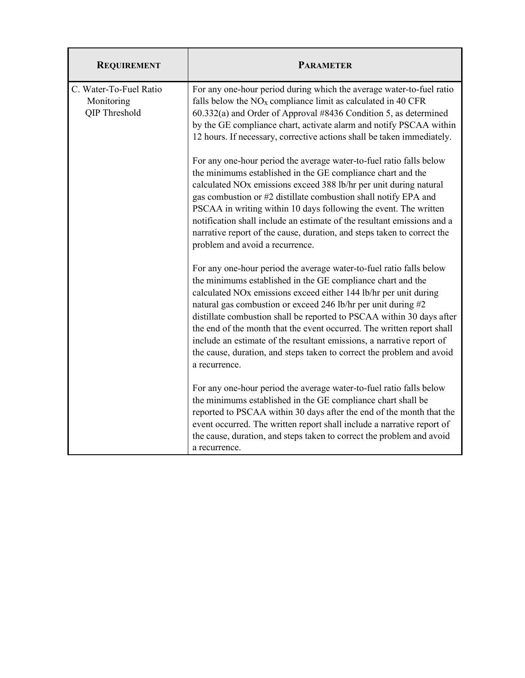| <b>REQUIREMENT</b>                                    | <b>PARAMETER</b>                                                                                                                                                                                                                                                                                                                                                                                                                                                                                                                                                                              |
|-------------------------------------------------------|-----------------------------------------------------------------------------------------------------------------------------------------------------------------------------------------------------------------------------------------------------------------------------------------------------------------------------------------------------------------------------------------------------------------------------------------------------------------------------------------------------------------------------------------------------------------------------------------------|
| C. Water-To-Fuel Ratio<br>Monitoring<br>QIP Threshold | For any one-hour period during which the average water-to-fuel ratio<br>falls below the $NOx$ compliance limit as calculated in 40 CFR<br>60.332(a) and Order of Approval #8436 Condition 5, as determined<br>by the GE compliance chart, activate alarm and notify PSCAA within<br>12 hours. If necessary, corrective actions shall be taken immediately.                                                                                                                                                                                                                                    |
|                                                       | For any one-hour period the average water-to-fuel ratio falls below<br>the minimums established in the GE compliance chart and the<br>calculated NOx emissions exceed 388 lb/hr per unit during natural<br>gas combustion or #2 distillate combustion shall notify EPA and<br>PSCAA in writing within 10 days following the event. The written<br>notification shall include an estimate of the resultant emissions and a<br>narrative report of the cause, duration, and steps taken to correct the<br>problem and avoid a recurrence.                                                       |
|                                                       | For any one-hour period the average water-to-fuel ratio falls below<br>the minimums established in the GE compliance chart and the<br>calculated NOx emissions exceed either 144 lb/hr per unit during<br>natural gas combustion or exceed 246 lb/hr per unit during #2<br>distillate combustion shall be reported to PSCAA within 30 days after<br>the end of the month that the event occurred. The written report shall<br>include an estimate of the resultant emissions, a narrative report of<br>the cause, duration, and steps taken to correct the problem and avoid<br>a recurrence. |
|                                                       | For any one-hour period the average water-to-fuel ratio falls below<br>the minimums established in the GE compliance chart shall be<br>reported to PSCAA within 30 days after the end of the month that the<br>event occurred. The written report shall include a narrative report of<br>the cause, duration, and steps taken to correct the problem and avoid<br>a recurrence.                                                                                                                                                                                                               |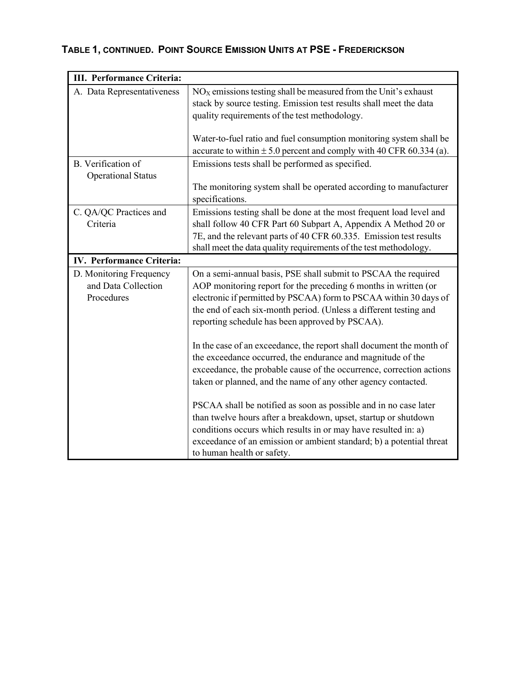# **TABLE 1, CONTINUED. POINT SOURCE EMISSION UNITS AT PSE - FREDERICKSON**

| III. Performance Criteria:       |                                                                                                                                                |
|----------------------------------|------------------------------------------------------------------------------------------------------------------------------------------------|
| A. Data Representativeness       | $NOX$ emissions testing shall be measured from the Unit's exhaust                                                                              |
|                                  | stack by source testing. Emission test results shall meet the data                                                                             |
|                                  | quality requirements of the test methodology.                                                                                                  |
|                                  |                                                                                                                                                |
|                                  | Water-to-fuel ratio and fuel consumption monitoring system shall be<br>accurate to within $\pm$ 5.0 percent and comply with 40 CFR 60.334 (a). |
| B. Verification of               | Emissions tests shall be performed as specified.                                                                                               |
| <b>Operational Status</b>        |                                                                                                                                                |
|                                  | The monitoring system shall be operated according to manufacturer<br>specifications.                                                           |
| C. QA/QC Practices and           | Emissions testing shall be done at the most frequent load level and                                                                            |
| Criteria                         | shall follow 40 CFR Part 60 Subpart A, Appendix A Method 20 or                                                                                 |
|                                  | 7E, and the relevant parts of 40 CFR 60.335. Emission test results                                                                             |
|                                  | shall meet the data quality requirements of the test methodology.                                                                              |
| <b>IV. Performance Criteria:</b> |                                                                                                                                                |
| D. Monitoring Frequency          | On a semi-annual basis, PSE shall submit to PSCAA the required                                                                                 |
| and Data Collection              | AOP monitoring report for the preceding 6 months in written (or                                                                                |
| Procedures                       | electronic if permitted by PSCAA) form to PSCAA within 30 days of                                                                              |
|                                  | the end of each six-month period. (Unless a different testing and<br>reporting schedule has been approved by PSCAA).                           |
|                                  |                                                                                                                                                |
|                                  | In the case of an exceedance, the report shall document the month of                                                                           |
|                                  | the exceedance occurred, the endurance and magnitude of the                                                                                    |
|                                  | exceedance, the probable cause of the occurrence, correction actions                                                                           |
|                                  | taken or planned, and the name of any other agency contacted.                                                                                  |
|                                  |                                                                                                                                                |
|                                  | PSCAA shall be notified as soon as possible and in no case later                                                                               |
|                                  | than twelve hours after a breakdown, upset, startup or shutdown                                                                                |
|                                  | conditions occurs which results in or may have resulted in: a)<br>exceedance of an emission or ambient standard; b) a potential threat         |
|                                  | to human health or safety.                                                                                                                     |
|                                  |                                                                                                                                                |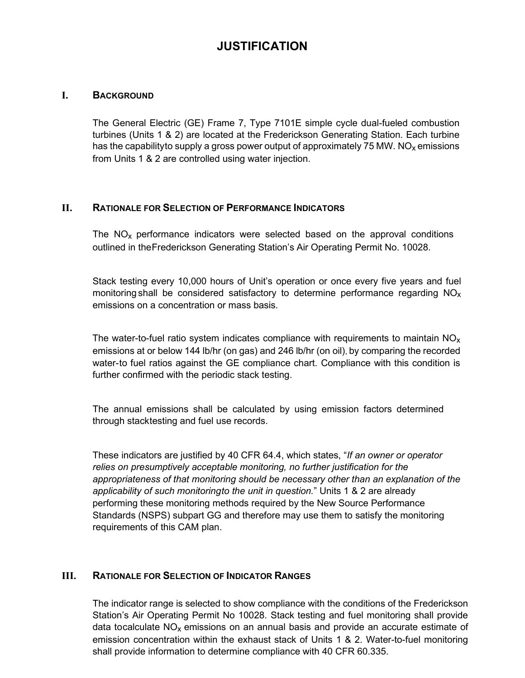# **JUSTIFICATION**

#### **I. BACKGROUND**

The General Electric (GE) Frame 7, Type 7101E simple cycle dual-fueled combustion turbines (Units 1 & 2) are located at the Frederickson Generating Station. Each turbine has the capabilityto supply a gross power output of approximately 75 MW. NO<sub>x</sub> emissions from Units 1 & 2 are controlled using water injection.

#### **II. RATIONALE FOR SELECTION OF PERFORMANCE INDICATORS**

The  $NO<sub>x</sub>$  performance indicators were selected based on the approval conditions outlined in theFrederickson Generating Station's Air Operating Permit No. 10028.

Stack testing every 10,000 hours of Unit's operation or once every five years and fuel monitoring shall be considered satisfactory to determine performance regarding  $NO<sub>x</sub>$ emissions on a concentration or mass basis.

The water-to-fuel ratio system indicates compliance with requirements to maintain  $NO<sub>x</sub>$ emissions at or below 144 lb/hr (on gas) and 246 lb/hr (on oil), by comparing the recorded water-to fuel ratios against the GE compliance chart. Compliance with this condition is further confirmed with the periodic stack testing.

The annual emissions shall be calculated by using emission factors determined through stacktesting and fuel use records.

These indicators are justified by 40 CFR 64.4, which states, "*If an owner or operator relies on presumptively acceptable monitoring, no further justification for the appropriateness of that monitoring should be necessary other than an explanation of the applicability of such monitoringto the unit in question.*" Units 1 & 2 are already performing these monitoring methods required by the New Source Performance Standards (NSPS) subpart GG and therefore may use them to satisfy the monitoring requirements of this CAM plan.

#### **III. RATIONALE FOR SELECTION OF INDICATOR RANGES**

The indicator range is selected to show compliance with the conditions of the Frederickson Station's Air Operating Permit No 10028. Stack testing and fuel monitoring shall provide data tocalculate  $NO<sub>x</sub>$  emissions on an annual basis and provide an accurate estimate of emission concentration within the exhaust stack of Units 1 & 2. Water-to-fuel monitoring shall provide information to determine compliance with 40 CFR 60.335.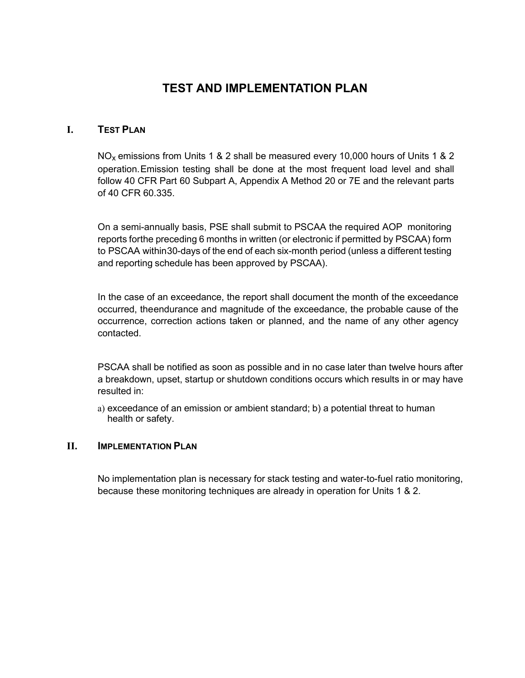# **TEST AND IMPLEMENTATION PLAN**

#### **I. TEST PLAN**

 $NO<sub>x</sub>$  emissions from Units 1 & 2 shall be measured every 10,000 hours of Units 1 & 2 operation.Emission testing shall be done at the most frequent load level and shall follow 40 CFR Part 60 Subpart A, Appendix A Method 20 or 7E and the relevant parts of 40 CFR 60.335.

On a semi-annually basis, PSE shall submit to PSCAA the required AOP monitoring reports forthe preceding 6 months in written (or electronic if permitted by PSCAA) form to PSCAA within30-days of the end of each six-month period (unless a different testing and reporting schedule has been approved by PSCAA).

In the case of an exceedance, the report shall document the month of the exceedance occurred, theendurance and magnitude of the exceedance, the probable cause of the occurrence, correction actions taken or planned, and the name of any other agency contacted.

PSCAA shall be notified as soon as possible and in no case later than twelve hours after a breakdown, upset, startup or shutdown conditions occurs which results in or may have resulted in:

a) exceedance of an emission or ambient standard; b) a potential threat to human health or safety.

#### **II. IMPLEMENTATION PLAN**

No implementation plan is necessary for stack testing and water-to-fuel ratio monitoring, because these monitoring techniques are already in operation for Units 1 & 2.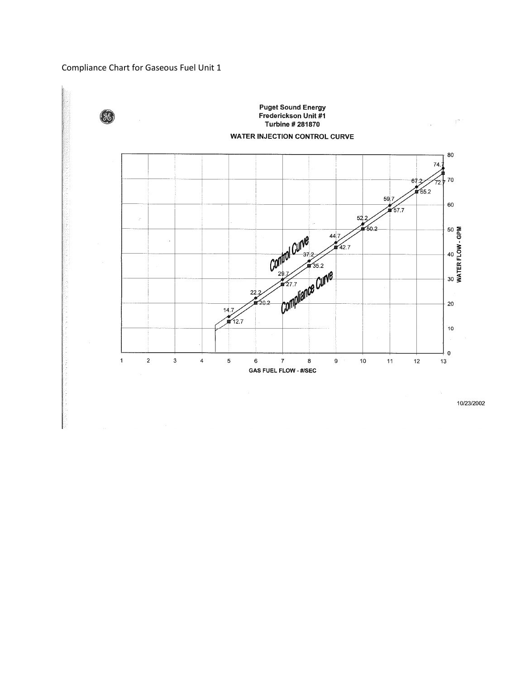# Compliance Chart for Gaseous Fuel Unit 1



10/23/2002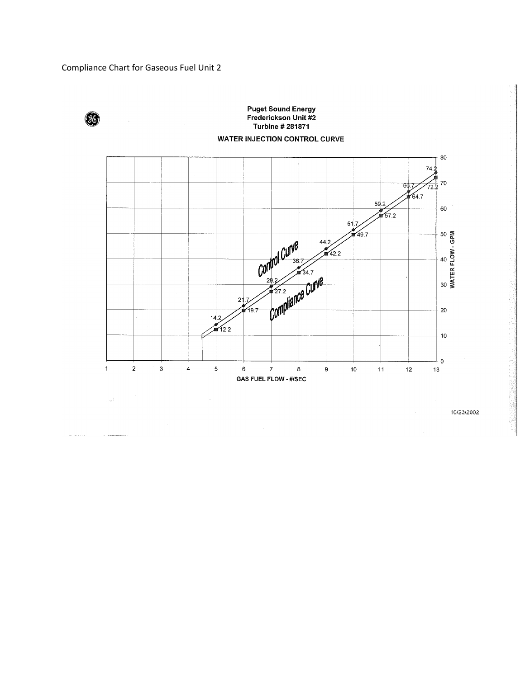

# **Puget Sound Energy<br>Frederickson Unit #2** Turbine # 281871 **WATER INJECTION CONTROL CURVE**



10/23/2002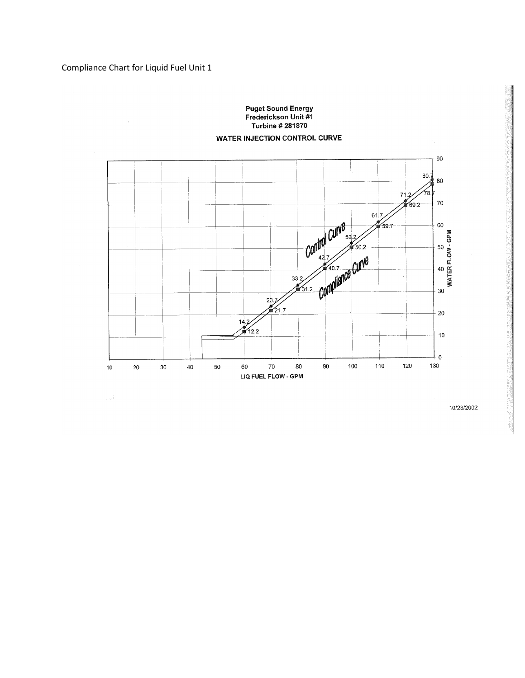

 $\sim$   $^7$ 10/23/2002  $\bar{z}$